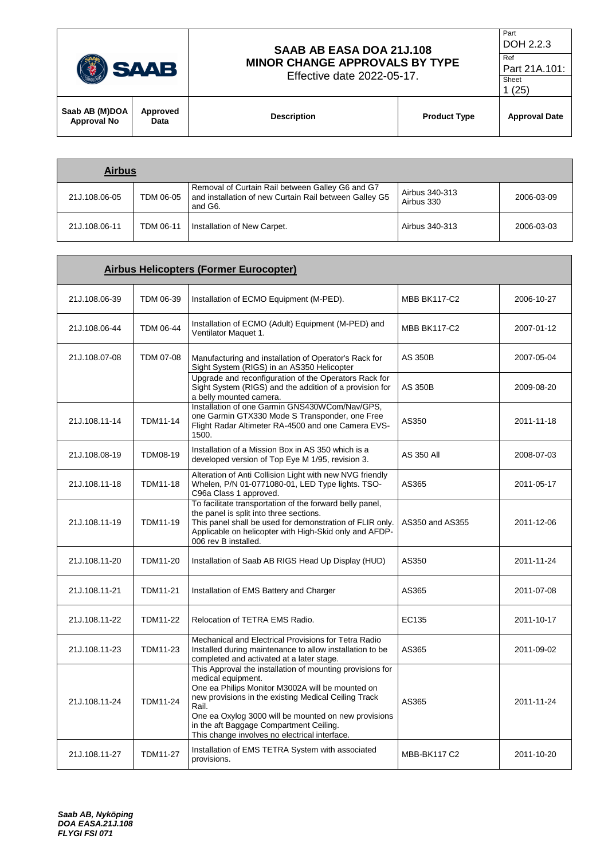| <b>SAAB</b>                          |                  | SAAB AB EASA DOA 21J.108<br><b>MINOR CHANGE APPROVALS BY TYPE</b><br>Effective date 2022-05-17. |                     | Part<br>DOH 2.2.3<br>Ref<br>Part 21A.101:<br>Sheet<br>1(25) |
|--------------------------------------|------------------|-------------------------------------------------------------------------------------------------|---------------------|-------------------------------------------------------------|
| Saab AB (M)DOA<br><b>Approval No</b> | Approved<br>Data | <b>Description</b>                                                                              | <b>Product Type</b> | <b>Approval Date</b>                                        |

| <b>Airbus</b> |           |                                                                                                                       |                              |            |
|---------------|-----------|-----------------------------------------------------------------------------------------------------------------------|------------------------------|------------|
| 21J.108.06-05 | TDM 06-05 | Removal of Curtain Rail between Galley G6 and G7<br>and installation of new Curtain Rail between Galley G5<br>and G6. | Airbus 340-313<br>Airbus 330 | 2006-03-09 |
| 21J.108.06-11 | TDM 06-11 | Installation of New Carpet.                                                                                           | Airbus 340-313               | 2006-03-03 |

| <b>Airbus Helicopters (Former Eurocopter)</b> |                 |                                                                                                                                                                                                                                                                                                                                                          |                     |            |
|-----------------------------------------------|-----------------|----------------------------------------------------------------------------------------------------------------------------------------------------------------------------------------------------------------------------------------------------------------------------------------------------------------------------------------------------------|---------------------|------------|
| 21J.108.06-39                                 | TDM 06-39       | Installation of ECMO Equipment (M-PED).                                                                                                                                                                                                                                                                                                                  | <b>MBB BK117-C2</b> | 2006-10-27 |
| 21J.108.06-44                                 | TDM 06-44       | Installation of ECMO (Adult) Equipment (M-PED) and<br>Ventilator Maquet 1.                                                                                                                                                                                                                                                                               | <b>MBB BK117-C2</b> | 2007-01-12 |
| 21J.108.07-08                                 | TDM 07-08       | Manufacturing and installation of Operator's Rack for<br>Sight System (RIGS) in an AS350 Helicopter                                                                                                                                                                                                                                                      | AS 350B             | 2007-05-04 |
|                                               |                 | Upgrade and reconfiguration of the Operators Rack for<br>Sight System (RIGS) and the addition of a provision for<br>a belly mounted camera.                                                                                                                                                                                                              | <b>AS 350B</b>      | 2009-08-20 |
| 21J.108.11-14                                 | <b>TDM11-14</b> | Installation of one Garmin GNS430WCom/Nav/GPS,<br>one Garmin GTX330 Mode S Transponder, one Free<br>Flight Radar Altimeter RA-4500 and one Camera EVS-<br>1500.                                                                                                                                                                                          | AS350               | 2011-11-18 |
| 21J.108.08-19                                 | TDM08-19        | Installation of a Mission Box in AS 350 which is a<br>developed version of Top Eye M 1/95, revision 3.                                                                                                                                                                                                                                                   | <b>AS 350 All</b>   | 2008-07-03 |
| 21J.108.11-18                                 | TDM11-18        | Alteration of Anti Collision Light with new NVG friendly<br>Whelen, P/N 01-0771080-01, LED Type lights. TSO-<br>C96a Class 1 approved.                                                                                                                                                                                                                   | AS365               | 2011-05-17 |
| 21J.108.11-19                                 | TDM11-19        | To facilitate transportation of the forward belly panel,<br>the panel is split into three sections.<br>This panel shall be used for demonstration of FLIR only.<br>Applicable on helicopter with High-Skid only and AFDP-<br>006 rev B installed.                                                                                                        | AS350 and AS355     | 2011-12-06 |
| 21J.108.11-20                                 | TDM11-20        | Installation of Saab AB RIGS Head Up Display (HUD)                                                                                                                                                                                                                                                                                                       | AS350               | 2011-11-24 |
| 21J.108.11-21                                 | <b>TDM11-21</b> | Installation of EMS Battery and Charger                                                                                                                                                                                                                                                                                                                  | AS365               | 2011-07-08 |
| 21J.108.11-22                                 | TDM11-22        | Relocation of TETRA EMS Radio.                                                                                                                                                                                                                                                                                                                           | EC135               | 2011-10-17 |
| 21J.108.11-23                                 | TDM11-23        | Mechanical and Electrical Provisions for Tetra Radio<br>Installed during maintenance to allow installation to be<br>completed and activated at a later stage.                                                                                                                                                                                            | AS365               | 2011-09-02 |
| 21J.108.11-24                                 | TDM11-24        | This Approval the installation of mounting provisions for<br>medical equipment.<br>One ea Philips Monitor M3002A will be mounted on<br>new provisions in the existing Medical Ceiling Track<br>Rail.<br>One ea Oxylog 3000 will be mounted on new provisions<br>in the aft Baggage Compartment Ceiling.<br>This change involves no electrical interface. | AS365               | 2011-11-24 |
| 21J.108.11-27                                 | <b>TDM11-27</b> | Installation of EMS TETRA System with associated<br>provisions.                                                                                                                                                                                                                                                                                          | <b>MBB-BK117 C2</b> | 2011-10-20 |

 $\mathbf{r}$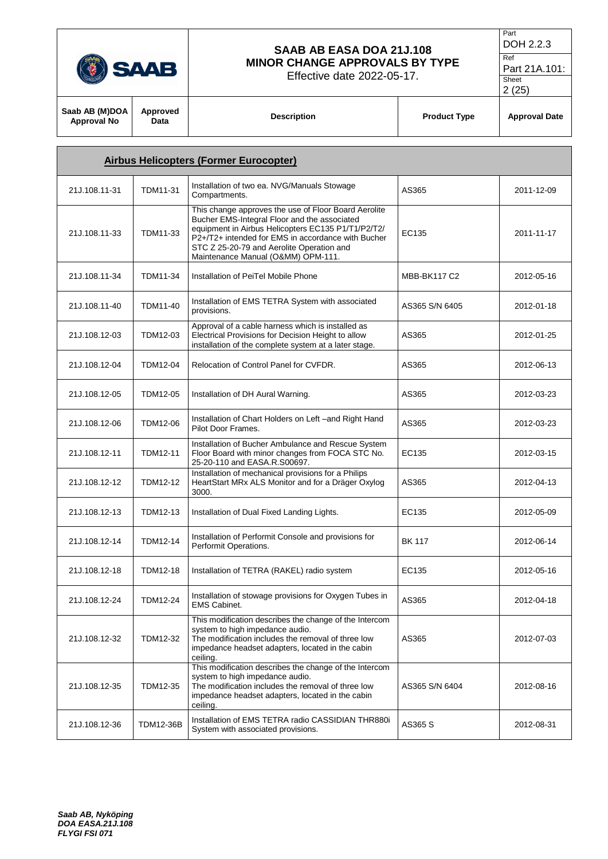|                                      | SAAB             | SAAB AB EASA DOA 21J.108<br><b>MINOR CHANGE APPROVALS BY TYPE</b><br>Effective date 2022-05-17.                                                                                                                                                                                                     |                     | Part<br>DOH 2.2.3<br>Ref<br>Part 21A.101:<br>Sheet<br>2(25) |
|--------------------------------------|------------------|-----------------------------------------------------------------------------------------------------------------------------------------------------------------------------------------------------------------------------------------------------------------------------------------------------|---------------------|-------------------------------------------------------------|
| Saab AB (M)DOA<br><b>Approval No</b> | Approved<br>Data | <b>Description</b>                                                                                                                                                                                                                                                                                  | <b>Product Type</b> | <b>Approval Date</b>                                        |
|                                      |                  | <b>Airbus Helicopters (Former Eurocopter)</b>                                                                                                                                                                                                                                                       |                     |                                                             |
| 21J.108.11-31                        | TDM11-31         | Installation of two ea. NVG/Manuals Stowage<br>Compartments.                                                                                                                                                                                                                                        | AS365               | 2011-12-09                                                  |
| 21J.108.11-33                        | TDM11-33         | This change approves the use of Floor Board Aerolite<br>Bucher EMS-Integral Floor and the associated<br>equipment in Airbus Helicopters EC135 P1/T1/P2/T2/<br>P2+/T2+ intended for EMS in accordance with Bucher<br>STC Z 25-20-79 and Aerolite Operation and<br>Maintenance Manual (O&MM) OPM-111. | EC135               | 2011-11-17                                                  |
| 21J.108.11-34                        | TDM11-34         | Installation of PeiTel Mobile Phone                                                                                                                                                                                                                                                                 | <b>MBB-BK117 C2</b> | 2012-05-16                                                  |
| 21J.108.11-40                        | TDM11-40         | Installation of EMS TETRA System with associated<br>provisions.                                                                                                                                                                                                                                     | AS365 S/N 6405      | 2012-01-18                                                  |
| 21J.108.12-03                        | TDM12-03         | Approval of a cable harness which is installed as<br>Electrical Provisions for Decision Height to allow<br>installation of the complete system at a later stage.                                                                                                                                    | AS365               | 2012-01-25                                                  |
| 21J.108.12-04                        | TDM12-04         | Relocation of Control Panel for CVFDR.                                                                                                                                                                                                                                                              | AS365               | 2012-06-13                                                  |
| 21J.108.12-05                        | TDM12-05         | Installation of DH Aural Warning.                                                                                                                                                                                                                                                                   | AS365               | 2012-03-23                                                  |
| 21J.108.12-06                        | TDM12-06         | Installation of Chart Holders on Left -and Right Hand<br>Pilot Door Frames.                                                                                                                                                                                                                         | AS365               | 2012-03-23                                                  |
| 21J.108.12-11                        | TDM12-11         | Installation of Bucher Ambulance and Rescue System<br>Floor Board with minor changes from FOCA STC No.<br>25-20-110 and EASA.R.S00697.                                                                                                                                                              | EC135               | 2012-03-15                                                  |
| 21J.108.12-12                        | TDM12-12         | Installation of mechanical provisions for a Philips<br>HeartStart MRx ALS Monitor and for a Dräger Oxylog<br>3000.                                                                                                                                                                                  | AS365               | 2012-04-13                                                  |
| 21J.108.12-13                        | TDM12-13         | Installation of Dual Fixed Landing Lights.                                                                                                                                                                                                                                                          | EC135               | 2012-05-09                                                  |
| 21J.108.12-14                        | TDM12-14         | Installation of Performit Console and provisions for<br>Performit Operations.                                                                                                                                                                                                                       | <b>BK 117</b>       | 2012-06-14                                                  |
| 21J.108.12-18                        | TDM12-18         | Installation of TETRA (RAKEL) radio system                                                                                                                                                                                                                                                          | EC135               | 2012-05-16                                                  |
| 21J.108.12-24                        | TDM12-24         | Installation of stowage provisions for Oxygen Tubes in<br><b>EMS Cabinet.</b>                                                                                                                                                                                                                       | AS365               | 2012-04-18                                                  |
| 21J.108.12-32                        | TDM12-32         | This modification describes the change of the Intercom<br>system to high impedance audio.<br>The modification includes the removal of three low<br>impedance headset adapters, located in the cabin<br>ceiling.                                                                                     | AS365               | 2012-07-03                                                  |

This modification describes the change of the Intercom

Installation of EMS TETRA radio CASSIDIAN THR880i AS365 S 2012-08-31

AS365 S/N 6404 2012-08-16

The modification includes the removal of three low impedance headset adapters, located in the cabin

system to high impedance audio.

ceiling.

21J.108.12-36 TDM12-36B | Installation of EMS TETRA radio CASSIDIAN THR880i

 $\Gamma$ 

21J.108.12-35 TDM12-35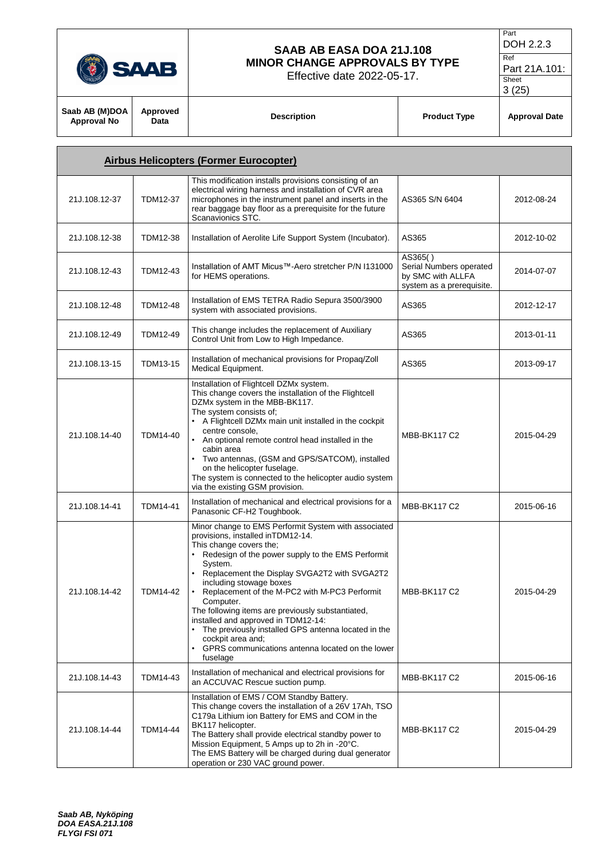|                                      | SAAB             | SAAB AB EASA DOA 21J.108<br><b>MINOR CHANGE APPROVALS BY TYPE</b><br>Effective date 2022-05-17.                                                                                                                                                                                                                                                                                                                                                                                              |                                                                                      | Part<br>DOH 2.2.3<br>Ref<br>Part 21A.101:<br>Sheet<br>3(25) |  |
|--------------------------------------|------------------|----------------------------------------------------------------------------------------------------------------------------------------------------------------------------------------------------------------------------------------------------------------------------------------------------------------------------------------------------------------------------------------------------------------------------------------------------------------------------------------------|--------------------------------------------------------------------------------------|-------------------------------------------------------------|--|
| Saab AB (M)DOA<br><b>Approval No</b> | Approved<br>Data | <b>Description</b>                                                                                                                                                                                                                                                                                                                                                                                                                                                                           | <b>Product Type</b>                                                                  | <b>Approval Date</b>                                        |  |
|                                      |                  | <b>Airbus Helicopters (Former Eurocopter)</b>                                                                                                                                                                                                                                                                                                                                                                                                                                                |                                                                                      |                                                             |  |
| 21J.108.12-37                        | <b>TDM12-37</b>  | This modification installs provisions consisting of an<br>electrical wiring harness and installation of CVR area<br>microphones in the instrument panel and inserts in the<br>rear baggage bay floor as a prerequisite for the future<br>Scanavionics STC.                                                                                                                                                                                                                                   | AS365 S/N 6404                                                                       | 2012-08-24                                                  |  |
| 21J.108.12-38                        | <b>TDM12-38</b>  | Installation of Aerolite Life Support System (Incubator).                                                                                                                                                                                                                                                                                                                                                                                                                                    | AS365                                                                                | 2012-10-02                                                  |  |
| 21J.108.12-43                        | TDM12-43         | Installation of AMT Micus™-Aero stretcher P/N I131000<br>for HEMS operations.                                                                                                                                                                                                                                                                                                                                                                                                                | AS365()<br>Serial Numbers operated<br>by SMC with ALLFA<br>system as a prerequisite. | 2014-07-07                                                  |  |
| 21J.108.12-48                        | <b>TDM12-48</b>  | Installation of EMS TETRA Radio Sepura 3500/3900<br>system with associated provisions.                                                                                                                                                                                                                                                                                                                                                                                                       | AS365                                                                                | 2012-12-17                                                  |  |
| 21J.108.12-49                        | TDM12-49         | This change includes the replacement of Auxiliary<br>Control Unit from Low to High Impedance.                                                                                                                                                                                                                                                                                                                                                                                                | AS365                                                                                | 2013-01-11                                                  |  |
| 21J.108.13-15                        | TDM13-15         | Installation of mechanical provisions for Propaq/Zoll<br>Medical Equipment.                                                                                                                                                                                                                                                                                                                                                                                                                  | AS365                                                                                | 2013-09-17                                                  |  |
| 21J.108.14-40                        | TDM14-40         | Installation of Flightcell DZMx system.<br>This change covers the installation of the Flightcell<br>DZMx system in the MBB-BK117.<br>The system consists of;<br>• A Flightcell DZMx main unit installed in the cockpit<br>centre console,<br>• An optional remote control head installed in the<br>cabin area<br>• Two antennas, (GSM and GPS/SATCOM), installed<br>on the helicopter fuselage.<br>The system is connected to the helicopter audio system<br>via the existing GSM provision. | <b>MBB-BK117 C2</b>                                                                  | 2015-04-29                                                  |  |
| 21J.108.14-41                        | <b>TDM14-41</b>  | Installation of mechanical and electrical provisions for a<br>Panasonic CF-H2 Toughbook.                                                                                                                                                                                                                                                                                                                                                                                                     | <b>MBB-BK117 C2</b>                                                                  | 2015-06-16                                                  |  |
|                                      |                  | Minor change to EMS Performit System with associated<br>provisions, installed in TDM12-14.<br>This change covers the:<br>Redesign of the power supply to the EMS Performit<br>System.                                                                                                                                                                                                                                                                                                        |                                                                                      |                                                             |  |

| 21J.108.14-42 | TDM14-42        | This change covers the;<br>Redesign of the power supply to the EMS Performit<br>System.<br>Replacement the Display SVGA2T2 with SVGA2T2<br>including stowage boxes<br>Replacement of the M-PC2 with M-PC3 Performit<br>Computer.<br>The following items are previously substantiated,<br>installed and approved in TDM12-14:<br>The previously installed GPS antenna located in the<br>cockpit area and;<br>GPRS communications antenna located on the lower<br>$\bullet$<br>fuselage | MBB-BK117 C2        | 2015-04-29 |
|---------------|-----------------|---------------------------------------------------------------------------------------------------------------------------------------------------------------------------------------------------------------------------------------------------------------------------------------------------------------------------------------------------------------------------------------------------------------------------------------------------------------------------------------|---------------------|------------|
| 21J.108.14-43 | TDM14-43        | Installation of mechanical and electrical provisions for<br>an ACCUVAC Rescue suction pump.                                                                                                                                                                                                                                                                                                                                                                                           | <b>MBB-BK117 C2</b> | 2015-06-16 |
| 21J.108.14-44 | <b>TDM14-44</b> | Installation of EMS / COM Standby Battery.<br>This change covers the installation of a 26V 17Ah, TSO<br>C179a Lithium ion Battery for EMS and COM in the<br>BK117 helicopter.<br>The Battery shall provide electrical standby power to<br>Mission Equipment, 5 Amps up to 2h in -20°C.<br>The EMS Battery will be charged during dual generator<br>operation or 230 VAC ground power.                                                                                                 | <b>MBB-BK117 C2</b> | 2015-04-29 |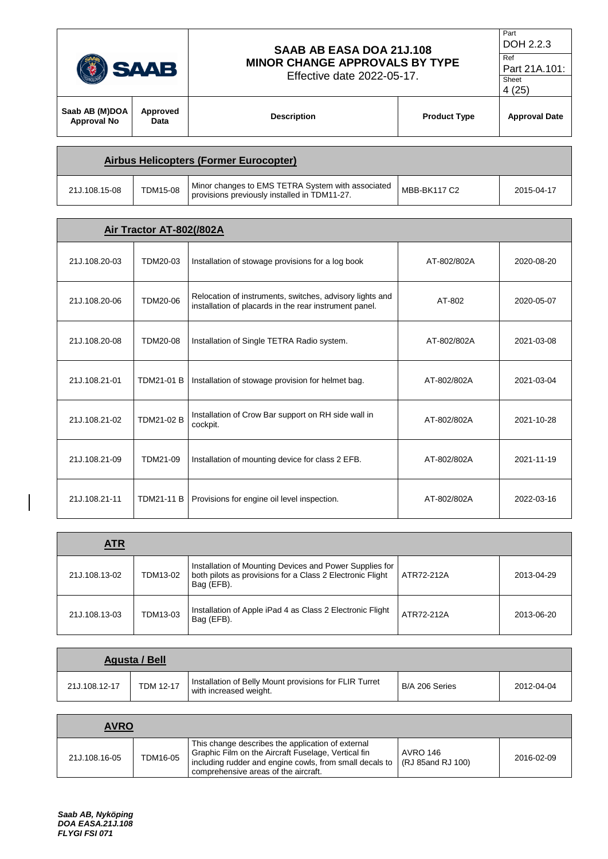|                                               | SAAB AB EASA DOA 21J.108<br><b>MINOR CHANGE APPROVALS BY TYPE</b><br><b>SAAB</b><br><b>Effective date 2022-05-17.</b> |                    |                     | Part<br>DOH 2.2.3<br>Ref<br>Part 21A.101:<br>Sheet<br>4(25) |
|-----------------------------------------------|-----------------------------------------------------------------------------------------------------------------------|--------------------|---------------------|-------------------------------------------------------------|
| Saab AB (M)DOA<br><b>Approval No</b>          | Approved<br>Data                                                                                                      | <b>Description</b> | <b>Product Type</b> | <b>Approval Date</b>                                        |
| <b>Airbus Helicopters (Former Eurocopter)</b> |                                                                                                                       |                    |                     |                                                             |

|               |                 | $\overline{ }$ , $\overline{ }$ , $\overline{ }$ , $\overline{ }$ , $\overline{ }$ , $\overline{ }$ , $\overline{ }$ , $\overline{ }$ , $\overline{ }$ , $\overline{ }$ , $\overline{ }$ , $\overline{ }$ , $\overline{ }$ , $\overline{ }$ , $\overline{ }$ , $\overline{ }$ , $\overline{ }$ , $\overline{ }$ , $\overline{ }$ , $\overline{ }$ , $\overline{ }$ , $\overline{ }$ , $\overline{ }$ , $\overline{ }$ , $\overline{$ |                     |            |
|---------------|-----------------|--------------------------------------------------------------------------------------------------------------------------------------------------------------------------------------------------------------------------------------------------------------------------------------------------------------------------------------------------------------------------------------------------------------------------------------|---------------------|------------|
| 21J.108.15-08 | <b>TDM15-08</b> | Minor changes to EMS TETRA System with associated<br>provisions previously installed in TDM11-27.                                                                                                                                                                                                                                                                                                                                    | <b>MBB-BK117 C2</b> | 2015-04-17 |

| Air Tractor AT-802(/802A |                   |                                                                                                                    |             |            |
|--------------------------|-------------------|--------------------------------------------------------------------------------------------------------------------|-------------|------------|
| 21J.108.20-03            | TDM20-03          | Installation of stowage provisions for a log book                                                                  | AT-802/802A | 2020-08-20 |
| 21J.108.20-06            | TDM20-06          | Relocation of instruments, switches, advisory lights and<br>installation of placards in the rear instrument panel. | AT-802      | 2020-05-07 |
| 21J.108.20-08            | TDM20-08          | Installation of Single TETRA Radio system.                                                                         | AT-802/802A | 2021-03-08 |
| 21J.108.21-01            | <b>TDM21-01 B</b> | Installation of stowage provision for helmet bag.                                                                  | AT-802/802A | 2021-03-04 |
| 21J.108.21-02            | TDM21-02 B        | Installation of Crow Bar support on RH side wall in<br>cockpit.                                                    | AT-802/802A | 2021-10-28 |
| 21J.108.21-09            | TDM21-09          | Installation of mounting device for class 2 EFB.                                                                   | AT-802/802A | 2021-11-19 |
| 21J.108.21-11            | <b>TDM21-11 B</b> | Provisions for engine oil level inspection.                                                                        | AT-802/802A | 2022-03-16 |

| <u>ATR</u>    |          |                                                                                                                                    |            |            |
|---------------|----------|------------------------------------------------------------------------------------------------------------------------------------|------------|------------|
| 21J.108.13-02 | TDM13-02 | Installation of Mounting Devices and Power Supplies for<br>both pilots as provisions for a Class 2 Electronic Flight<br>Bag (EFB). | ATR72-212A | 2013-04-29 |
| 21J.108.13-03 | TDM13-03 | Installation of Apple iPad 4 as Class 2 Electronic Flight<br>Bag (EFB).                                                            | ATR72-212A | 2013-06-20 |

| Agusta / Bell |                  |                                                                                  |                |            |  |
|---------------|------------------|----------------------------------------------------------------------------------|----------------|------------|--|
| 21J.108.12-17 | <b>TDM 12-17</b> | Installation of Belly Mount provisions for FLIR Turret<br>with increased weight. | B/A 206 Series | 2012-04-04 |  |

| <b>AVRO</b>   |          |                                                                                                                                                                                                                                                 |          |            |
|---------------|----------|-------------------------------------------------------------------------------------------------------------------------------------------------------------------------------------------------------------------------------------------------|----------|------------|
| 21J.108.16-05 | TDM16-05 | This change describes the application of external<br>Graphic Film on the Aircraft Fuselage, Vertical fin<br>including rudder and engine cowls, from small decals to $\sqrt{(RJ/85 \text{ and }RJ/100)}$<br>comprehensive areas of the aircraft. | AVRO 146 | 2016-02-09 |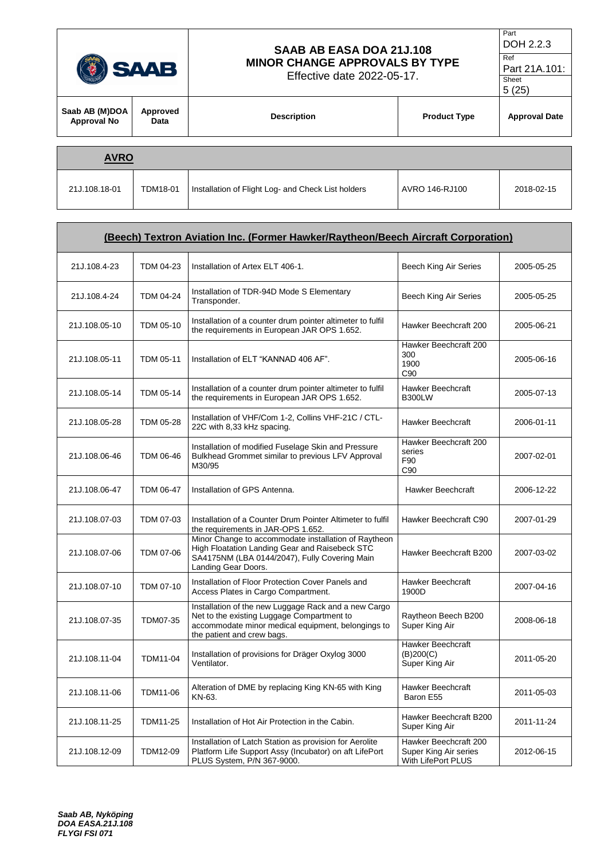|                                      | SAAB AB EASA DOA 21J.108<br><b>MINOR CHANGE APPROVALS BY TYPE</b><br><b>SAAB</b><br>Effective date 2022-05-17. |                                                    |                     | Part<br>DOH 2.2.3<br>Ref<br>Part 21A.101:<br>Sheet<br>5(25) |  |  |
|--------------------------------------|----------------------------------------------------------------------------------------------------------------|----------------------------------------------------|---------------------|-------------------------------------------------------------|--|--|
| Saab AB (M)DOA<br><b>Approval No</b> | Approved<br>Data                                                                                               | <b>Description</b>                                 | <b>Product Type</b> | <b>Approval Date</b>                                        |  |  |
| <b>AVRO</b>                          |                                                                                                                |                                                    |                     |                                                             |  |  |
| 21J.108.18-01                        | <b>TDM18-01</b>                                                                                                | Installation of Flight Log- and Check List holders | AVRO 146-RJ100      | 2018-02-15                                                  |  |  |

| (Beech) Textron Aviation Inc. (Former Hawker/Raytheon/Beech Aircraft Corporation) |                  |                                                                                                                                                                                        |                                                                      |            |  |
|-----------------------------------------------------------------------------------|------------------|----------------------------------------------------------------------------------------------------------------------------------------------------------------------------------------|----------------------------------------------------------------------|------------|--|
| 21J.108.4-23                                                                      | TDM 04-23        | Installation of Artex ELT 406-1.                                                                                                                                                       | Beech King Air Series                                                | 2005-05-25 |  |
| 21J.108.4-24                                                                      | <b>TDM 04-24</b> | Installation of TDR-94D Mode S Elementary<br>Transponder.                                                                                                                              | <b>Beech King Air Series</b>                                         | 2005-05-25 |  |
| 21J.108.05-10                                                                     | TDM 05-10        | Installation of a counter drum pointer altimeter to fulfil<br>the requirements in European JAR OPS 1.652.                                                                              | Hawker Beechcraft 200                                                | 2005-06-21 |  |
| 21J.108.05-11                                                                     | TDM 05-11        | Installation of ELT "KANNAD 406 AF".                                                                                                                                                   | Hawker Beechcraft 200<br>300<br>1900<br>C90                          | 2005-06-16 |  |
| 21J.108.05-14                                                                     | TDM 05-14        | Installation of a counter drum pointer altimeter to fulfil<br>the requirements in European JAR OPS 1.652.                                                                              | Hawker Beechcraft<br><b>B300LW</b>                                   | 2005-07-13 |  |
| 21J.108.05-28                                                                     | TDM 05-28        | Installation of VHF/Com 1-2, Collins VHF-21C / CTL-<br>22C with 8,33 kHz spacing.                                                                                                      | <b>Hawker Beechcraft</b>                                             | 2006-01-11 |  |
| 21J.108.06-46                                                                     | TDM 06-46        | Installation of modified Fuselage Skin and Pressure<br>Bulkhead Grommet similar to previous LFV Approval<br>M30/95                                                                     | Hawker Beechcraft 200<br>series<br>F90<br>C90                        | 2007-02-01 |  |
| 21J.108.06-47                                                                     | <b>TDM 06-47</b> | Installation of GPS Antenna.                                                                                                                                                           | Hawker Beechcraft                                                    | 2006-12-22 |  |
| 21J.108.07-03                                                                     | TDM 07-03        | Installation of a Counter Drum Pointer Altimeter to fulfil<br>the requirements in JAR-OPS 1.652.                                                                                       | Hawker Beechcraft C90                                                | 2007-01-29 |  |
| 21J.108.07-06                                                                     | TDM 07-06        | Minor Change to accommodate installation of Raytheon<br>High Floatation Landing Gear and Raisebeck STC<br>SA4175NM (LBA 0144/2047), Fully Covering Main<br>Landing Gear Doors.         | Hawker Beechcraft B200                                               | 2007-03-02 |  |
| 21J.108.07-10                                                                     | TDM 07-10        | Installation of Floor Protection Cover Panels and<br>Access Plates in Cargo Compartment.                                                                                               | Hawker Beechcraft<br>1900D                                           | 2007-04-16 |  |
| 21J.108.07-35                                                                     | TDM07-35         | Installation of the new Luggage Rack and a new Cargo<br>Net to the existing Luggage Compartment to<br>accommodate minor medical equipment, belongings to<br>the patient and crew bags. | Raytheon Beech B200<br>Super King Air                                | 2008-06-18 |  |
| 21J.108.11-04                                                                     | TDM11-04         | Installation of provisions for Dräger Oxylog 3000<br>Ventilator.                                                                                                                       | <b>Hawker Beechcraft</b><br>(B)200(C)<br>Super King Air              | 2011-05-20 |  |
| 21J.108.11-06                                                                     | TDM11-06         | Alteration of DME by replacing King KN-65 with King<br>KN-63.                                                                                                                          | Hawker Beechcraft<br>Baron E55                                       | 2011-05-03 |  |
| 21J.108.11-25                                                                     | TDM11-25         | Installation of Hot Air Protection in the Cabin.                                                                                                                                       | Hawker Beechcraft B200<br>Super King Air                             | 2011-11-24 |  |
| 21J.108.12-09                                                                     | TDM12-09         | Installation of Latch Station as provision for Aerolite<br>Platform Life Support Assy (Incubator) on aft LifePort<br>PLUS System, P/N 367-9000.                                        | Hawker Beechcraft 200<br>Super King Air series<br>With LifePort PLUS | 2012-06-15 |  |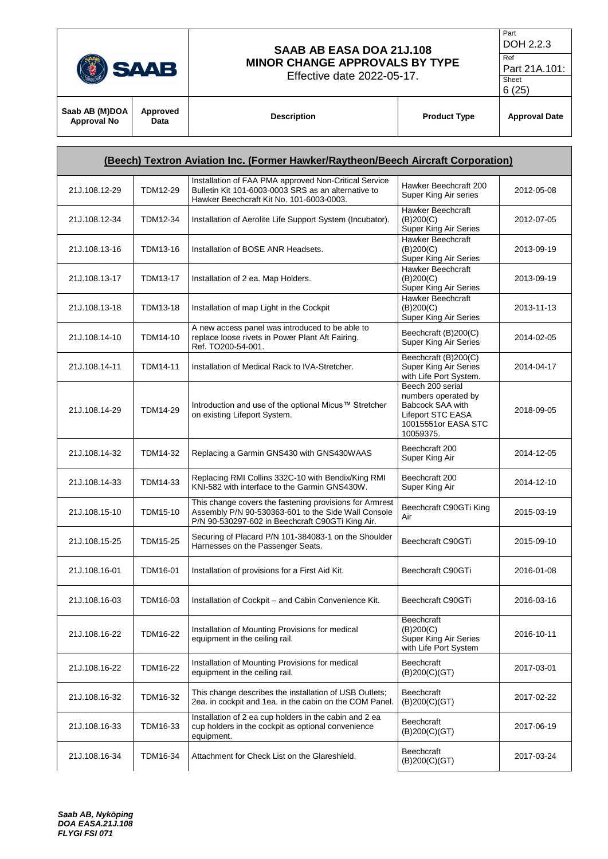

Effective date 2022-05-17.

```
Part
DOH 2.2.3
```
Ref Part 21A.101:

6 (25)

| Saab AB (M)DOA<br>Approved<br><b>Description</b><br><b>Approval Date</b><br><b>Product Type</b><br><b>Approval No</b><br>Data |
|-------------------------------------------------------------------------------------------------------------------------------|
|                                                                                                                               |

Sheet

| (Beech) Textron Aviation Inc. (Former Hawker/Raytheon/Beech Aircraft Corporation) |                 |                                                                                                                                                                    |                                                                                                                      |            |
|-----------------------------------------------------------------------------------|-----------------|--------------------------------------------------------------------------------------------------------------------------------------------------------------------|----------------------------------------------------------------------------------------------------------------------|------------|
| 21J.108.12-29                                                                     | TDM12-29        | Installation of FAA PMA approved Non-Critical Service<br>Bulletin Kit 101-6003-0003 SRS as an alternative to<br>Hawker Beechcraft Kit No. 101-6003-0003.           | Hawker Beechcraft 200<br>Super King Air series                                                                       | 2012-05-08 |
| 21J.108.12-34                                                                     | <b>TDM12-34</b> | Installation of Aerolite Life Support System (Incubator).                                                                                                          | Hawker Beechcraft<br>(B)200(C)<br>Super King Air Series                                                              | 2012-07-05 |
| 21J.108.13-16                                                                     | TDM13-16        | Installation of BOSE ANR Headsets.                                                                                                                                 | <b>Hawker Beechcraft</b><br>(B)200(C)<br>Super King Air Series                                                       | 2013-09-19 |
| 21J.108.13-17                                                                     | <b>TDM13-17</b> | Installation of 2 ea. Map Holders.                                                                                                                                 | <b>Hawker Beechcraft</b><br>(B)200(C)<br>Super King Air Series                                                       | 2013-09-19 |
| 21J.108.13-18                                                                     | <b>TDM13-18</b> | Installation of map Light in the Cockpit                                                                                                                           | Hawker Beechcraft<br>(B)200(C)<br>Super King Air Series                                                              | 2013-11-13 |
| 21J.108.14-10                                                                     | TDM14-10        | A new access panel was introduced to be able to<br>replace loose rivets in Power Plant Aft Fairing.<br>Ref. TO200-54-001.                                          | Beechcraft (B)200(C)<br>Super King Air Series                                                                        | 2014-02-05 |
| 21J.108.14-11                                                                     | <b>TDM14-11</b> | Installation of Medical Rack to IVA-Stretcher.                                                                                                                     | Beechcraft (B)200(C)<br>Super King Air Series<br>with Life Port System.                                              | 2014-04-17 |
| 21J.108.14-29                                                                     | <b>TDM14-29</b> | Introduction and use of the optional Micus™ Stretcher<br>on existing Lifeport System.                                                                              | Beech 200 serial<br>numbers operated by<br>Babcock SAA with<br>Lifeport STC EASA<br>10015551or EASA STC<br>10059375. | 2018-09-05 |
| 21J.108.14-32                                                                     | TDM14-32        | Replacing a Garmin GNS430 with GNS430WAAS                                                                                                                          | Beechcraft 200<br>Super King Air                                                                                     | 2014-12-05 |
| 21J.108.14-33                                                                     | TDM14-33        | Replacing RMI Collins 332C-10 with Bendix/King RMI<br>KNI-582 with interface to the Garmin GNS430W.                                                                | Beechcraft 200<br>Super King Air                                                                                     | 2014-12-10 |
| 21J.108.15-10                                                                     | TDM15-10        | This change covers the fastening provisions for Armrest<br>Assembly P/N 90-530363-601 to the Side Wall Console<br>P/N 90-530297-602 in Beechcraft C90GTi King Air. | Beechcraft C90GTi King<br>Air                                                                                        | 2015-03-19 |
| 21J.108.15-25                                                                     | TDM15-25        | Securing of Placard P/N 101-384083-1 on the Shoulder<br>Harnesses on the Passenger Seats.                                                                          | Beechcraft C90GTi                                                                                                    | 2015-09-10 |
| 21J.108.16-01                                                                     | <b>TDM16-01</b> | Installation of provisions for a First Aid Kit.                                                                                                                    | Beechcraft C90GTi                                                                                                    | 2016-01-08 |
| 21J.108.16-03                                                                     | TDM16-03        | Installation of Cockpit - and Cabin Convenience Kit.                                                                                                               | Beechcraft C90GTi                                                                                                    | 2016-03-16 |
| 21J.108.16-22                                                                     | <b>TDM16-22</b> | Installation of Mounting Provisions for medical<br>equipment in the ceiling rail.                                                                                  | Beechcraft<br>(B)200(C)<br>Super King Air Series<br>with Life Port System                                            | 2016-10-11 |
| 21J.108.16-22                                                                     | <b>TDM16-22</b> | Installation of Mounting Provisions for medical<br>equipment in the ceiling rail.                                                                                  | Beechcraft<br>(B)200(C)(GT)                                                                                          | 2017-03-01 |
| 21J.108.16-32                                                                     | TDM16-32        | This change describes the installation of USB Outlets;<br>2ea. in cockpit and 1ea. in the cabin on the COM Panel.                                                  | Beechcraft<br>(B)200(C)(GT)                                                                                          | 2017-02-22 |
| 21J.108.16-33                                                                     | TDM16-33        | Installation of 2 ea cup holders in the cabin and 2 ea<br>cup holders in the cockpit as optional convenience<br>equipment.                                         | <b>Beechcraft</b><br>(B)200(C)(GT)                                                                                   | 2017-06-19 |
| 21J.108.16-34                                                                     | TDM16-34        | Attachment for Check List on the Glareshield.                                                                                                                      | <b>Beechcraft</b><br>(B)200(C)(GT)                                                                                   | 2017-03-24 |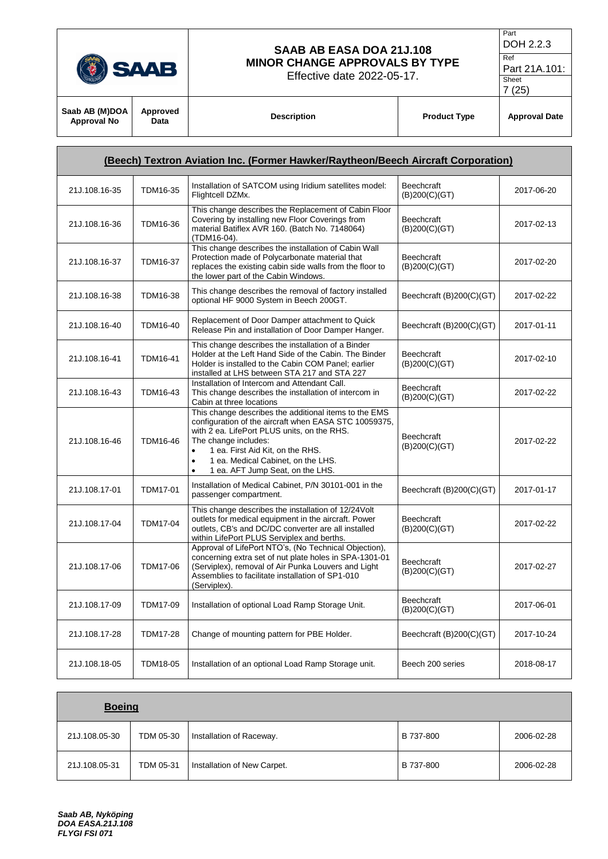

**Approved** 

#### **SAAB AB EASA DOA 21J.108 MINOR CHANGE APPROVALS BY TYPE**

Effective date 2022-05-17.

Part DOH 2.2.3

Ref Part 21A.101: Sheet

**Saab AB (M)DOA Approval No**

**Data Description Product Type Approval Date**

| (Beech) Textron Aviation Inc. (Former Hawker/Raytheon/Beech Aircraft Corporation) |                 |                                                                                                                                                                                                                                                                                                                               |                                    |            |
|-----------------------------------------------------------------------------------|-----------------|-------------------------------------------------------------------------------------------------------------------------------------------------------------------------------------------------------------------------------------------------------------------------------------------------------------------------------|------------------------------------|------------|
| 21J.108.16-35                                                                     | TDM16-35        | Installation of SATCOM using Iridium satellites model:<br>Flightcell DZMx.                                                                                                                                                                                                                                                    | <b>Beechcraft</b><br>(B)200(C)(GT) | 2017-06-20 |
| 21J.108.16-36                                                                     | TDM16-36        | This change describes the Replacement of Cabin Floor<br>Covering by installing new Floor Coverings from<br>material Batiflex AVR 160. (Batch No. 7148064)<br>(TDM16-04).                                                                                                                                                      | <b>Beechcraft</b><br>(B)200(C)(GT) | 2017-02-13 |
| 21J.108.16-37                                                                     | <b>TDM16-37</b> | This change describes the installation of Cabin Wall<br>Protection made of Polycarbonate material that<br>replaces the existing cabin side walls from the floor to<br>the lower part of the Cabin Windows.                                                                                                                    | <b>Beechcraft</b><br>(B)200(C)(GT) | 2017-02-20 |
| 21J.108.16-38                                                                     | TDM16-38        | This change describes the removal of factory installed<br>optional HF 9000 System in Beech 200GT.                                                                                                                                                                                                                             | Beechcraft (B)200(C)(GT)           | 2017-02-22 |
| 21J.108.16-40                                                                     | TDM16-40        | Replacement of Door Damper attachment to Quick<br>Release Pin and installation of Door Damper Hanger.                                                                                                                                                                                                                         | Beechcraft (B)200(C)(GT)           | 2017-01-11 |
| 21J.108.16-41                                                                     | <b>TDM16-41</b> | This change describes the installation of a Binder<br>Holder at the Left Hand Side of the Cabin. The Binder<br>Holder is installed to the Cabin COM Panel: earlier<br>installed at LHS between STA 217 and STA 227                                                                                                            | <b>Beechcraft</b><br>(B)200(C)(GT) | 2017-02-10 |
| 21J.108.16-43                                                                     | TDM16-43        | Installation of Intercom and Attendant Call.<br>This change describes the installation of intercom in<br>Cabin at three locations                                                                                                                                                                                             | <b>Beechcraft</b><br>(B)200(C)(GT) | 2017-02-22 |
| 21J.108.16-46                                                                     | <b>TDM16-46</b> | This change describes the additional items to the EMS<br>configuration of the aircraft when EASA STC 10059375,<br>with 2 ea. LifePort PLUS units, on the RHS.<br>The change includes:<br>1 ea. First Aid Kit, on the RHS.<br>$\bullet$<br>1 ea. Medical Cabinet, on the LHS.<br>$\bullet$<br>1 ea. AFT Jump Seat, on the LHS. | <b>Beechcraft</b><br>(B)200(C)(GT) | 2017-02-22 |
| 21J.108.17-01                                                                     | <b>TDM17-01</b> | Installation of Medical Cabinet, P/N 30101-001 in the<br>passenger compartment.                                                                                                                                                                                                                                               | Beechcraft (B)200(C)(GT)           | 2017-01-17 |
| 21J.108.17-04                                                                     | <b>TDM17-04</b> | This change describes the installation of 12/24Volt<br>outlets for medical equipment in the aircraft. Power<br>outlets, CB's and DC/DC converter are all installed<br>within LifePort PLUS Serviplex and berths.                                                                                                              | Beechcraft<br>(B)200(C)(GT)        | 2017-02-22 |
| 21J.108.17-06                                                                     | <b>TDM17-06</b> | Approval of LifePort NTO's, (No Technical Objection),<br>concerning extra set of nut plate holes in SPA-1301-01<br>(Serviplex), removal of Air Punka Louvers and Light<br>Assemblies to facilitate installation of SP1-010<br>(Serviplex).                                                                                    | <b>Beechcraft</b><br>(B)200(C)(GT) | 2017-02-27 |
| 21J.108.17-09                                                                     | <b>TDM17-09</b> | Installation of optional Load Ramp Storage Unit.                                                                                                                                                                                                                                                                              | <b>Beechcraft</b><br>(B)200(C)(GT) | 2017-06-01 |
| 21J.108.17-28                                                                     | <b>TDM17-28</b> | Change of mounting pattern for PBE Holder.                                                                                                                                                                                                                                                                                    | Beechcraft (B)200(C)(GT)           | 2017-10-24 |
| 21J.108.18-05                                                                     | <b>TDM18-05</b> | Installation of an optional Load Ramp Storage unit.                                                                                                                                                                                                                                                                           | Beech 200 series                   | 2018-08-17 |

| <b>Boeing</b> |           |                             |           |            |  |  |
|---------------|-----------|-----------------------------|-----------|------------|--|--|
| 21J.108.05-30 | TDM 05-30 | Installation of Raceway.    | B 737-800 | 2006-02-28 |  |  |
| 21J.108.05-31 | TDM 05-31 | Installation of New Carpet. | B 737-800 | 2006-02-28 |  |  |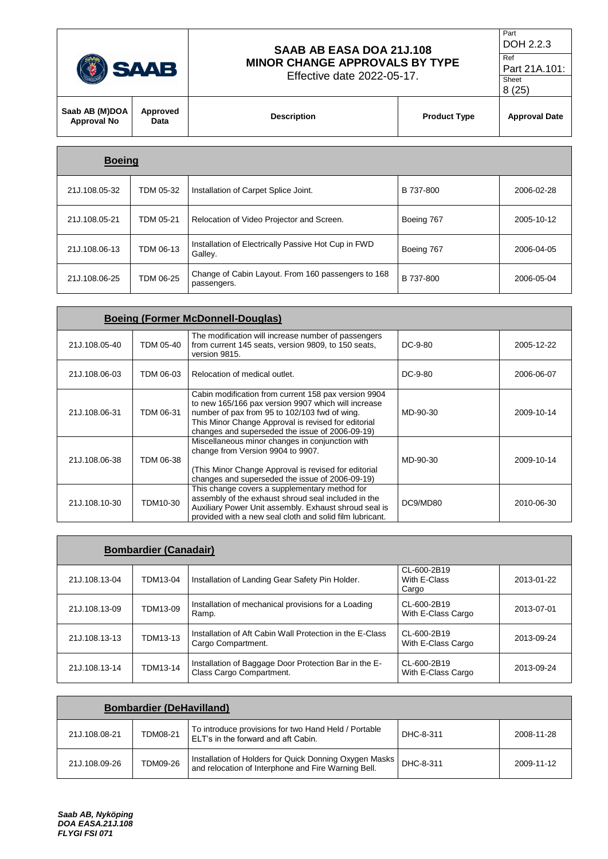

Effective date 2022-05-17.

```
Part
DOH 2.2.3
Ref
```
Part 21A.101: Sheet 8 (25)

| Saab AB (M)DOA<br>Approval No | Approved<br>Data | <b>Description</b> | <b>Product Type</b> | <b>Approval Date</b> |
|-------------------------------|------------------|--------------------|---------------------|----------------------|
|                               |                  |                    |                     |                      |
|                               |                  |                    |                     |                      |

| <b>Boeing</b> |           |                                                                   |            |            |
|---------------|-----------|-------------------------------------------------------------------|------------|------------|
| 21J.108.05-32 | TDM 05-32 | Installation of Carpet Splice Joint.                              | B 737-800  | 2006-02-28 |
| 21J.108.05-21 | TDM 05-21 | Relocation of Video Projector and Screen.                         | Boeing 767 | 2005-10-12 |
| 21J.108.06-13 | TDM 06-13 | Installation of Electrically Passive Hot Cup in FWD<br>Galley.    | Boeing 767 | 2006-04-05 |
| 21J.108.06-25 | TDM 06-25 | Change of Cabin Layout. From 160 passengers to 168<br>passengers. | B 737-800  | 2006-05-04 |

|               | <b>Boeing (Former McDonnell-Douglas)</b> |                                                                                                                                                                                                                                                                        |           |            |  |  |
|---------------|------------------------------------------|------------------------------------------------------------------------------------------------------------------------------------------------------------------------------------------------------------------------------------------------------------------------|-----------|------------|--|--|
| 21J.108.05-40 | TDM 05-40                                | The modification will increase number of passengers<br>from current 145 seats, version 9809, to 150 seats,<br>version 9815.                                                                                                                                            | $DC-9-80$ | 2005-12-22 |  |  |
| 21J.108.06-03 | TDM 06-03                                | Relocation of medical outlet.                                                                                                                                                                                                                                          | DC-9-80   | 2006-06-07 |  |  |
| 21J.108.06-31 | TDM 06-31                                | Cabin modification from current 158 pax version 9904<br>to new 165/166 pax version 9907 which will increase<br>number of pax from 95 to 102/103 fwd of wing.<br>This Minor Change Approval is revised for editorial<br>changes and superseded the issue of 2006-09-19) | MD-90-30  | 2009-10-14 |  |  |
| 21J.108.06-38 | TDM 06-38                                | Miscellaneous minor changes in conjunction with<br>change from Version 9904 to 9907.<br>(This Minor Change Approval is revised for editorial<br>changes and superseded the issue of 2006-09-19)                                                                        | MD-90-30  | 2009-10-14 |  |  |
| 21J.108.10-30 | TDM10-30                                 | This change covers a supplementary method for<br>assembly of the exhaust shroud seal included in the<br>Auxiliary Power Unit assembly. Exhaust shroud seal is<br>provided with a new seal cloth and solid film lubricant.                                              | DC9/MD80  | 2010-06-30 |  |  |

|               | <b>Bombardier (Canadair)</b> |                                                                                   |                                      |            |  |  |  |
|---------------|------------------------------|-----------------------------------------------------------------------------------|--------------------------------------|------------|--|--|--|
| 21J.108.13-04 | TDM13-04                     | Installation of Landing Gear Safety Pin Holder.                                   | CL-600-2B19<br>With E-Class<br>Cargo | 2013-01-22 |  |  |  |
| 21J.108.13-09 | TDM13-09                     | Installation of mechanical provisions for a Loading<br>Ramp.                      | CL-600-2B19<br>With E-Class Cargo    | 2013-07-01 |  |  |  |
| 21J.108.13-13 | TDM13-13                     | Installation of Aft Cabin Wall Protection in the E-Class<br>Cargo Compartment.    | CL-600-2B19<br>With E-Class Cargo    | 2013-09-24 |  |  |  |
| 21J.108.13-14 | TDM13-14                     | Installation of Baggage Door Protection Bar in the E-<br>Class Cargo Compartment. | CL-600-2B19<br>With E-Class Cargo    | 2013-09-24 |  |  |  |

| <b>Bombardier (DeHavilland)</b> |          |                                                                                                               |           |            |  |
|---------------------------------|----------|---------------------------------------------------------------------------------------------------------------|-----------|------------|--|
| 21J.108.08-21                   | TDM08-21 | To introduce provisions for two Hand Held / Portable<br>ELT's in the forward and aft Cabin.                   | DHC-8-311 | 2008-11-28 |  |
| 21J.108.09-26                   | TDM09-26 | Installation of Holders for Quick Donning Oxygen Masks<br>and relocation of Interphone and Fire Warning Bell. | DHC-8-311 | 2009-11-12 |  |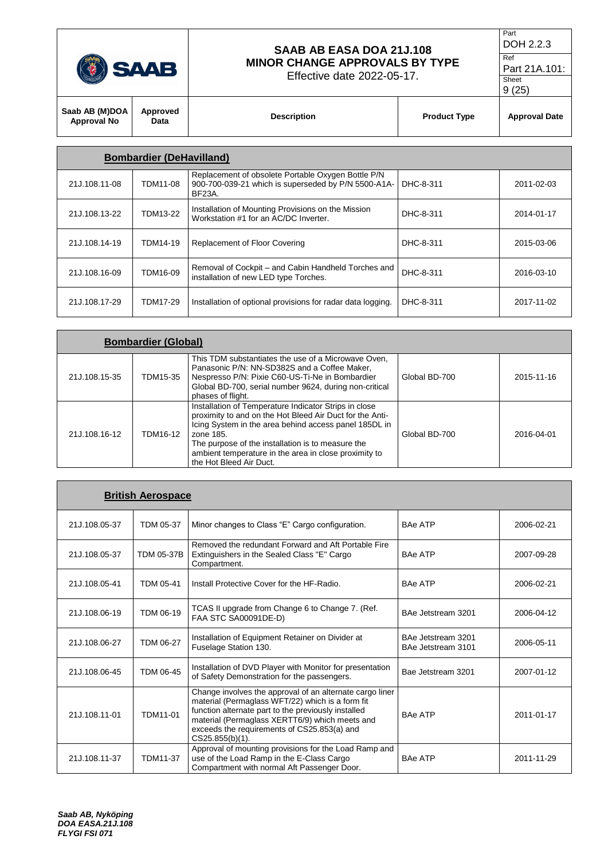|  |  | V N<br>o<br>= |
|--|--|---------------|
|--|--|---------------|

Effective date 2022-05-17.

```
DOH 2.2.3
Ref 
Part 21A.101:
```
Part

Sheet

| $\sim$                               |                  |                    |                     | 9(25)                |
|--------------------------------------|------------------|--------------------|---------------------|----------------------|
| Saab AB (M)DOA<br><b>Approval No</b> | Approved<br>Data | <b>Description</b> | <b>Product Type</b> | <b>Approval Date</b> |
|                                      |                  |                    |                     |                      |

|               | <b>Bombardier (DeHavilland)</b> |                                                                                                                     |           |            |
|---------------|---------------------------------|---------------------------------------------------------------------------------------------------------------------|-----------|------------|
| 21J.108.11-08 | TDM11-08                        | Replacement of obsolete Portable Oxygen Bottle P/N<br>900-700-039-21 which is superseded by P/N 5500-A1A-<br>BF23A. | DHC-8-311 | 2011-02-03 |
| 21J.108.13-22 | <b>TDM13-22</b>                 | Installation of Mounting Provisions on the Mission<br>Workstation #1 for an AC/DC Inverter.                         | DHC-8-311 | 2014-01-17 |
| 21J.108.14-19 | TDM14-19                        | Replacement of Floor Covering                                                                                       | DHC-8-311 | 2015-03-06 |
| 21J.108.16-09 | TDM16-09                        | Removal of Cockpit – and Cabin Handheld Torches and<br>installation of new LED type Torches.                        | DHC-8-311 | 2016-03-10 |
| 21J.108.17-29 | TDM17-29                        | Installation of optional provisions for radar data logging.                                                         | DHC-8-311 | 2017-11-02 |

|               | <b>Bombardier (Global)</b> |                                                                                                                                                                                                                                                                                                                                  |               |            |
|---------------|----------------------------|----------------------------------------------------------------------------------------------------------------------------------------------------------------------------------------------------------------------------------------------------------------------------------------------------------------------------------|---------------|------------|
| 21J.108.15-35 | TDM15-35                   | This TDM substantiates the use of a Microwave Oven,<br>Panasonic P/N: NN-SD382S and a Coffee Maker,<br>Nespresso P/N: Pixie C60-US-Ti-Ne in Bombardier<br>Global BD-700, serial number 9624, during non-critical<br>phases of flight.                                                                                            | Global BD-700 | 2015-11-16 |
| 21J.108.16-12 | <b>TDM16-12</b>            | Installation of Temperature Indicator Strips in close<br>proximity to and on the Hot Bleed Air Duct for the Anti-<br>Icing System in the area behind access panel 185DL in<br>zone 185.<br>The purpose of the installation is to measure the<br>ambient temperature in the area in close proximity to<br>the Hot Bleed Air Duct. | Global BD-700 | 2016-04-01 |

|               | <b>British Aerospace</b> |                                                                                                                                                                                                                                                                                         |                                          |            |
|---------------|--------------------------|-----------------------------------------------------------------------------------------------------------------------------------------------------------------------------------------------------------------------------------------------------------------------------------------|------------------------------------------|------------|
| 21J.108.05-37 | TDM 05-37                | Minor changes to Class "E" Cargo configuration.                                                                                                                                                                                                                                         | <b>BAe ATP</b>                           | 2006-02-21 |
| 21J.108.05-37 | TDM 05-37B               | Removed the redundant Forward and Aft Portable Fire<br>Extinguishers in the Sealed Class "E" Cargo<br>Compartment.                                                                                                                                                                      | <b>BAe ATP</b>                           | 2007-09-28 |
| 21J.108.05-41 | TDM 05-41                | Install Protective Cover for the HF-Radio.                                                                                                                                                                                                                                              | <b>BAe ATP</b>                           | 2006-02-21 |
| 21J.108.06-19 | TDM 06-19                | TCAS II upgrade from Change 6 to Change 7. (Ref.<br>FAA STC SA00091DE-D)                                                                                                                                                                                                                | BAe Jetstream 3201                       | 2006-04-12 |
| 21J.108.06-27 | <b>TDM 06-27</b>         | Installation of Equipment Retainer on Divider at<br>Fuselage Station 130.                                                                                                                                                                                                               | BAe Jetstream 3201<br>BAe Jetstream 3101 | 2006-05-11 |
| 21J.108.06-45 | TDM 06-45                | Installation of DVD Player with Monitor for presentation<br>of Safety Demonstration for the passengers.                                                                                                                                                                                 | Bae Jetstream 3201                       | 2007-01-12 |
| 21J.108.11-01 | TDM11-01                 | Change involves the approval of an alternate cargo liner<br>material (Permaglass WFT/22) which is a form fit<br>function alternate part to the previously installed<br>material (Permaglass XERTT6/9) which meets and<br>exceeds the requirements of CS25.853(a) and<br>CS25.855(b)(1). | <b>BAe ATP</b>                           | 2011-01-17 |
| 21J.108.11-37 | TDM11-37                 | Approval of mounting provisions for the Load Ramp and<br>use of the Load Ramp in the E-Class Cargo<br>Compartment with normal Aft Passenger Door.                                                                                                                                       | <b>BAe ATP</b>                           | 2011-11-29 |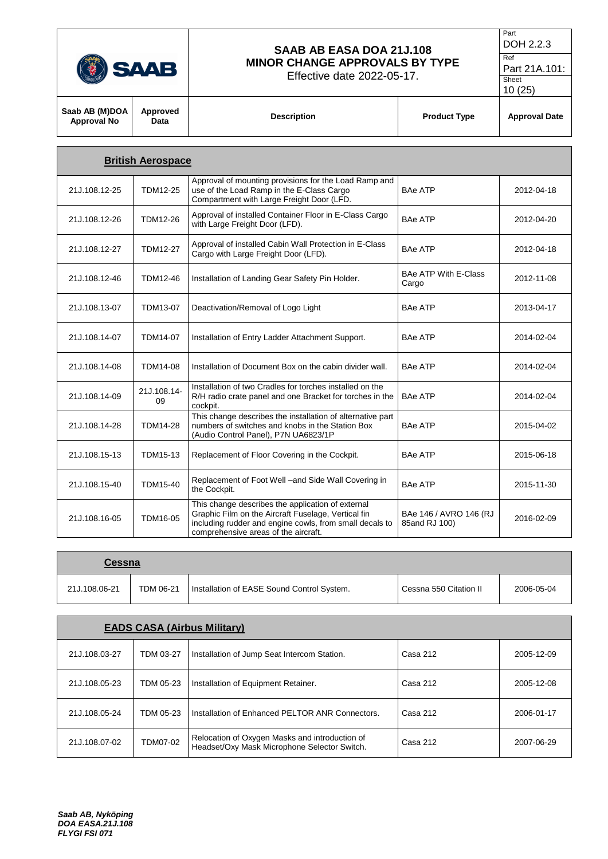| U<br>and the state of the state of the state of the state of the state of the state of the state of the state of th |
|---------------------------------------------------------------------------------------------------------------------|
|                                                                                                                     |

Effective date 2022-05-17.

DOH 2.2.3 Ref

Part

Part 21A.101: Sheet

|                                      |                  |                    |                     | 10(25)               |
|--------------------------------------|------------------|--------------------|---------------------|----------------------|
| Saab AB (M)DOA<br><b>Approval No</b> | Approved<br>Data | <b>Description</b> | <b>Product Type</b> | <b>Approval Date</b> |
|                                      |                  |                    |                     |                      |

|               | <b>British Aerospace</b> |                                                                                                                                                                                                             |                                         |            |
|---------------|--------------------------|-------------------------------------------------------------------------------------------------------------------------------------------------------------------------------------------------------------|-----------------------------------------|------------|
| 21J.108.12-25 | <b>TDM12-25</b>          | Approval of mounting provisions for the Load Ramp and<br>use of the Load Ramp in the E-Class Cargo<br>Compartment with Large Freight Door (LFD.                                                             | <b>BAe ATP</b>                          | 2012-04-18 |
| 21J.108.12-26 | TDM12-26                 | Approval of installed Container Floor in E-Class Cargo<br>with Large Freight Door (LFD).                                                                                                                    | <b>BAe ATP</b>                          | 2012-04-20 |
| 21J.108.12-27 | <b>TDM12-27</b>          | Approval of installed Cabin Wall Protection in E-Class<br>Cargo with Large Freight Door (LFD).                                                                                                              | <b>BAe ATP</b>                          | 2012-04-18 |
| 21J.108.12-46 | TDM12-46                 | Installation of Landing Gear Safety Pin Holder.                                                                                                                                                             | <b>BAe ATP With E-Class</b><br>Cargo    | 2012-11-08 |
| 21J.108.13-07 | TDM13-07                 | Deactivation/Removal of Logo Light                                                                                                                                                                          | <b>BAe ATP</b>                          | 2013-04-17 |
| 21J.108.14-07 | <b>TDM14-07</b>          | Installation of Entry Ladder Attachment Support.                                                                                                                                                            | <b>BAe ATP</b>                          | 2014-02-04 |
| 21J.108.14-08 | <b>TDM14-08</b>          | Installation of Document Box on the cabin divider wall.                                                                                                                                                     | <b>BAe ATP</b>                          | 2014-02-04 |
| 21J.108.14-09 | 21J.108.14-<br>09        | Installation of two Cradles for torches installed on the<br>R/H radio crate panel and one Bracket for torches in the<br>cockpit.                                                                            | <b>BAe ATP</b>                          | 2014-02-04 |
| 21J.108.14-28 | <b>TDM14-28</b>          | This change describes the installation of alternative part<br>numbers of switches and knobs in the Station Box<br>(Audio Control Panel), P7N UA6823/1P                                                      | <b>BAe ATP</b>                          | 2015-04-02 |
| 21J.108.15-13 | <b>TDM15-13</b>          | Replacement of Floor Covering in the Cockpit.                                                                                                                                                               | <b>BAe ATP</b>                          | 2015-06-18 |
| 21J.108.15-40 | TDM15-40                 | Replacement of Foot Well -and Side Wall Covering in<br>the Cockpit.                                                                                                                                         | <b>BAe ATP</b>                          | 2015-11-30 |
| 21J.108.16-05 | <b>TDM16-05</b>          | This change describes the application of external<br>Graphic Film on the Aircraft Fuselage, Vertical fin<br>including rudder and engine cowls, from small decals to<br>comprehensive areas of the aircraft. | BAe 146 / AVRO 146 (RJ<br>85and RJ 100) | 2016-02-09 |

| <b>Cessna</b> |           |                                            |                        |            |
|---------------|-----------|--------------------------------------------|------------------------|------------|
| 21J.108.06-21 | TDM 06-21 | Installation of EASE Sound Control System. | Cessna 550 Citation II | 2006-05-04 |

|               |           | <b>EADS CASA (Airbus Military)</b>                                                             |          |            |
|---------------|-----------|------------------------------------------------------------------------------------------------|----------|------------|
| 21J.108.03-27 | TDM 03-27 | Installation of Jump Seat Intercom Station.                                                    | Casa 212 | 2005-12-09 |
| 21J.108.05-23 | TDM 05-23 | Installation of Equipment Retainer.                                                            | Casa 212 | 2005-12-08 |
| 21J.108.05-24 | TDM 05-23 | Installation of Enhanced PELTOR ANR Connectors.                                                | Casa 212 | 2006-01-17 |
| 21J.108.07-02 | TDM07-02  | Relocation of Oxygen Masks and introduction of<br>Headset/Oxy Mask Microphone Selector Switch. | Casa 212 | 2007-06-29 |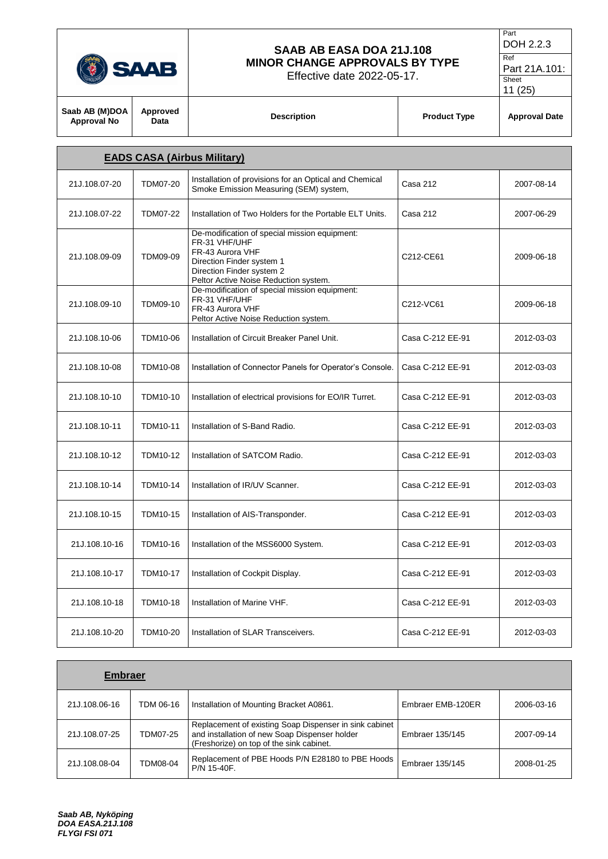|                                      |                  | SAAB AB EASA DOA 21J.108<br><b>MINOR CHANGE APPROVALS BY TYPE</b><br>Effective date 2022-05-17.                                                                                       |                     | DOH 2.2.3<br>$\overline{\text{Ref}}$<br>Part 21A.101:<br>Sheet |
|--------------------------------------|------------------|---------------------------------------------------------------------------------------------------------------------------------------------------------------------------------------|---------------------|----------------------------------------------------------------|
| Saab AB (M)DOA<br><b>Approval No</b> | Approved<br>Data | <b>Description</b>                                                                                                                                                                    | <b>Product Type</b> | 11(25)<br><b>Approval Date</b>                                 |
| <b>EADS CASA (Airbus Military)</b>   |                  |                                                                                                                                                                                       |                     |                                                                |
| 21J.108.07-20                        | <b>TDM07-20</b>  | Installation of provisions for an Optical and Chemical<br>Smoke Emission Measuring (SEM) system,                                                                                      | Casa 212            | 2007-08-14                                                     |
| 21J.108.07-22                        | <b>TDM07-22</b>  | Installation of Two Holders for the Portable ELT Units.                                                                                                                               | Casa 212            | 2007-06-29                                                     |
| 21J.108.09-09                        | <b>TDM09-09</b>  | De-modification of special mission equipment:<br>FR-31 VHF/UHF<br>FR-43 Aurora VHF<br>Direction Finder system 1<br>Direction Finder system 2<br>Peltor Active Noise Reduction system. | C212-CE61           | 2009-06-18                                                     |
| 21J.108.09-10                        | TDM09-10         | De-modification of special mission equipment:<br>FR-31 VHF/UHF<br>FR-43 Aurora VHF<br>Peltor Active Noise Reduction system.                                                           | C212-VC61           | 2009-06-18                                                     |
| 21J.108.10-06                        | TDM10-06         | Installation of Circuit Breaker Panel Unit.                                                                                                                                           | Casa C-212 EE-91    | 2012-03-03                                                     |
| 21J.108.10-08                        | <b>TDM10-08</b>  | Installation of Connector Panels for Operator's Console.                                                                                                                              | Casa C-212 EE-91    | 2012-03-03                                                     |
| 21J.108.10-10                        | <b>TDM10-10</b>  | Installation of electrical provisions for EO/IR Turret.                                                                                                                               | Casa C-212 EE-91    | 2012-03-03                                                     |
| 21J.108.10-11                        | TDM10-11         | Installation of S-Band Radio.                                                                                                                                                         | Casa C-212 EE-91    | 2012-03-03                                                     |
| 21J.108.10-12                        | TDM10-12         | Installation of SATCOM Radio.                                                                                                                                                         | Casa C-212 EE-91    | 2012-03-03                                                     |
| 21J.108.10-14                        | TDM10-14         | Installation of IR/UV Scanner.                                                                                                                                                        | Casa C-212 EE-91    | 2012-03-03                                                     |
| 21J.108.10-15                        | <b>TDM10-15</b>  | Installation of AIS-Transponder.                                                                                                                                                      | Casa C-212 EE-91    | 2012-03-03                                                     |
| 21J.108.10-16                        | TDM10-16         | Installation of the MSS6000 System.                                                                                                                                                   | Casa C-212 EE-91    | 2012-03-03                                                     |
| 21J.108.10-17                        | <b>TDM10-17</b>  | Installation of Cockpit Display.                                                                                                                                                      | Casa C-212 EE-91    | 2012-03-03                                                     |
| 21J.108.10-18                        | TDM10-18         | Installation of Marine VHF.                                                                                                                                                           | Casa C-212 EE-91    | 2012-03-03                                                     |
| 21J.108.10-20                        | TDM10-20         | Installation of SLAR Transceivers.                                                                                                                                                    | Casa C-212 EE-91    | 2012-03-03                                                     |

Part

| <b>Embraer</b> |           |                                                                                                                                                     |                   |            |
|----------------|-----------|-----------------------------------------------------------------------------------------------------------------------------------------------------|-------------------|------------|
| 21J.108.06-16  | TDM 06-16 | Installation of Mounting Bracket A0861.                                                                                                             | Embraer EMB-120ER | 2006-03-16 |
| 21J.108.07-25  | TDM07-25  | Replacement of existing Soap Dispenser in sink cabinet<br>and installation of new Soap Dispenser holder<br>(Freshorize) on top of the sink cabinet. | Embraer 135/145   | 2007-09-14 |
| 21J.108.08-04  | TDM08-04  | Replacement of PBE Hoods P/N E28180 to PBE Hoods<br>P/N 15-40F.                                                                                     | Embraer 135/145   | 2008-01-25 |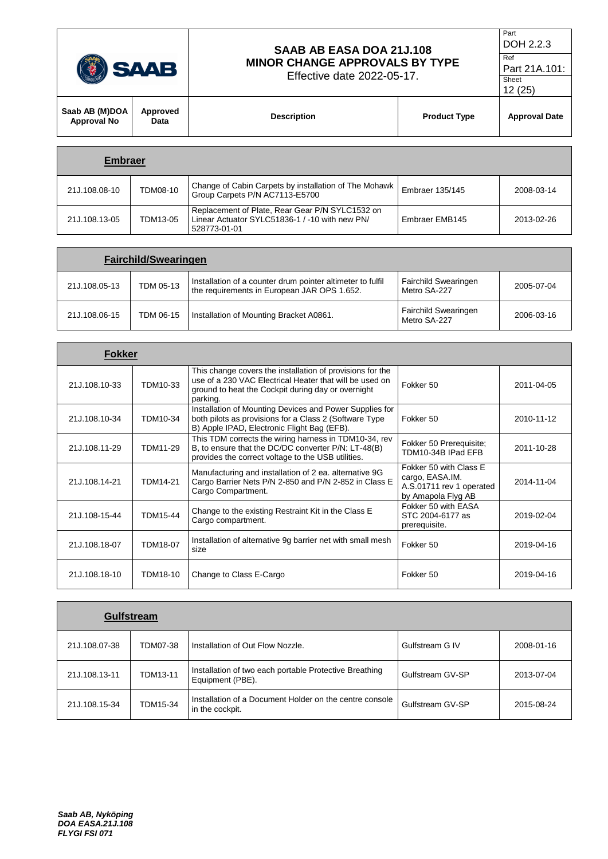| <b>SAAB</b>                          |                  | SAAB AB EASA DOA 21J.108<br><b>MINOR CHANGE APPROVALS BY TYPE</b><br>Effective date 2022-05-17. |                     | Part<br>DOH 2.2.3<br>Ref<br>Part 21A.101:<br>Sheet<br>12(25) |
|--------------------------------------|------------------|-------------------------------------------------------------------------------------------------|---------------------|--------------------------------------------------------------|
| Saab AB (M)DOA<br><b>Approval No</b> | Approved<br>Data | <b>Description</b>                                                                              | <b>Product Type</b> | <b>Approval Date</b>                                         |
| <b>Embraer</b>                       |                  |                                                                                                 |                     |                                                              |

| 21J.108.08-10 | TDM08-10 | Change of Cabin Carpets by installation of The Mohawk<br>Group Carpets P/N AC7113-E5700                           | Embraer 135/145 | 2008-03-14 |
|---------------|----------|-------------------------------------------------------------------------------------------------------------------|-----------------|------------|
| 21J.108.13-05 | TDM13-05 | Replacement of Plate, Rear Gear P/N SYLC1532 on<br>Linear Actuator SYLC51836-1 / -10 with new PN/<br>528773-01-01 | Embraer EMB145  | 2013-02-26 |

| <b>Fairchild/Swearingen</b> |           |                                                                                                           |                                             |            |  |
|-----------------------------|-----------|-----------------------------------------------------------------------------------------------------------|---------------------------------------------|------------|--|
| 21J.108.05-13               | TDM 05-13 | Installation of a counter drum pointer altimeter to fulfil<br>the requirements in European JAR OPS 1.652. | <b>Fairchild Swearingen</b><br>Metro SA-227 | 2005-07-04 |  |
| 21J.108.06-15               | TDM 06-15 | Installation of Mounting Bracket A0861.                                                                   | <b>Fairchild Swearingen</b><br>Metro SA-227 | 2006-03-16 |  |

| Fokker        |                 |                                                                                                                                                                                        |                                                                                             |            |
|---------------|-----------------|----------------------------------------------------------------------------------------------------------------------------------------------------------------------------------------|---------------------------------------------------------------------------------------------|------------|
| 21J.108.10-33 | TDM10-33        | This change covers the installation of provisions for the<br>use of a 230 VAC Electrical Heater that will be used on<br>ground to heat the Cockpit during day or overnight<br>parking. | Fokker 50                                                                                   | 2011-04-05 |
| 21J.108.10-34 | TDM10-34        | Installation of Mounting Devices and Power Supplies for<br>both pilots as provisions for a Class 2 (Software Type<br>B) Apple IPAD, Electronic Flight Bag (EFB).                       | Fokker 50                                                                                   | 2010-11-12 |
| 21J.108.11-29 | TDM11-29        | This TDM corrects the wiring harness in TDM10-34, rev<br>B, to ensure that the DC/DC converter P/N: LT-48(B)<br>provides the correct voltage to the USB utilities.                     | Fokker 50 Prerequisite;<br>TDM10-34B IPad EFB                                               | 2011-10-28 |
| 21J.108.14-21 | <b>TDM14-21</b> | Manufacturing and installation of 2 ea. alternative 9G<br>Cargo Barrier Nets P/N 2-850 and P/N 2-852 in Class E<br>Cargo Compartment.                                                  | Fokker 50 with Class E<br>cargo, EASA.IM.<br>A.S.01711 rev 1 operated<br>by Amapola Flyg AB | 2014-11-04 |
| 21J.108-15-44 | TDM15-44        | Change to the existing Restraint Kit in the Class E<br>Cargo compartment.                                                                                                              | Fokker 50 with EASA<br>STC 2004-6177 as<br>prerequisite.                                    | 2019-02-04 |
| 21J.108.18-07 | <b>TDM18-07</b> | Installation of alternative 9g barrier net with small mesh<br>size                                                                                                                     | Fokker 50                                                                                   | 2019-04-16 |
| 21J.108.18-10 | TDM18-10        | Change to Class E-Cargo                                                                                                                                                                | Fokker 50                                                                                   | 2019-04-16 |

|               | <b>Gulfstream</b> |                                                                            |                  |            |
|---------------|-------------------|----------------------------------------------------------------------------|------------------|------------|
| 21J.108.07-38 | TDM07-38          | Installation of Out Flow Nozzle.                                           | Gulfstream G IV  | 2008-01-16 |
| 21J.108.13-11 | TDM13-11          | Installation of two each portable Protective Breathing<br>Equipment (PBE). | Gulfstream GV-SP | 2013-07-04 |
| 21J.108.15-34 | TDM15-34          | Installation of a Document Holder on the centre console<br>in the cockpit. | Gulfstream GV-SP | 2015-08-24 |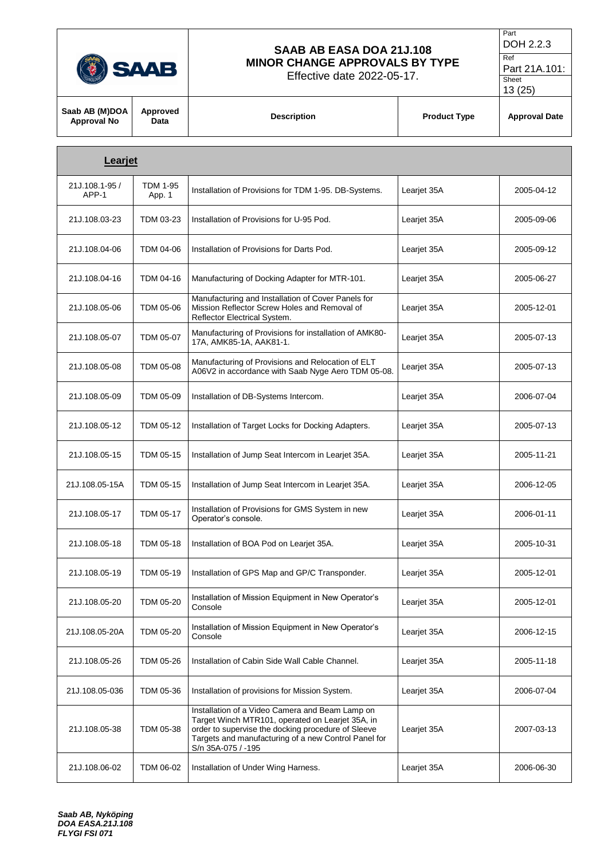

Г

# **SAAB AB EASA DOA 21J.108 MINOR CHANGE APPROVALS BY TYPE**

Effective date 2022-05-17.

Ref Part 21A.101: Sheet

| Saab AB (M)DOA  <br><b>Approval No</b> | Approved<br>Data | <b>Description</b> | <b>Product Type</b> | <b>Approval Date</b> |
|----------------------------------------|------------------|--------------------|---------------------|----------------------|
|                                        |                  |                    |                     |                      |
|                                        |                  |                    |                     |                      |

| <b>Learjet</b>         |                           |                                                                                                                                                                                                                                         |             |            |
|------------------------|---------------------------|-----------------------------------------------------------------------------------------------------------------------------------------------------------------------------------------------------------------------------------------|-------------|------------|
| 21J.108.1-95/<br>APP-1 | <b>TDM 1-95</b><br>App. 1 | Installation of Provisions for TDM 1-95. DB-Systems.                                                                                                                                                                                    | Learjet 35A | 2005-04-12 |
| 21J.108.03-23          | TDM 03-23                 | Installation of Provisions for U-95 Pod.                                                                                                                                                                                                | Learjet 35A | 2005-09-06 |
| 21J.108.04-06          | TDM 04-06                 | Installation of Provisions for Darts Pod.                                                                                                                                                                                               | Learjet 35A | 2005-09-12 |
| 21J.108.04-16          | TDM 04-16                 | Manufacturing of Docking Adapter for MTR-101.                                                                                                                                                                                           | Leariet 35A | 2005-06-27 |
| 21J.108.05-06          | TDM 05-06                 | Manufacturing and Installation of Cover Panels for<br>Mission Reflector Screw Holes and Removal of<br>Reflector Electrical System.                                                                                                      | Learjet 35A | 2005-12-01 |
| 21J.108.05-07          | TDM 05-07                 | Manufacturing of Provisions for installation of AMK80-<br>17A, AMK85-1A, AAK81-1.                                                                                                                                                       | Learjet 35A | 2005-07-13 |
| 21J.108.05-08          | TDM 05-08                 | Manufacturing of Provisions and Relocation of ELT<br>A06V2 in accordance with Saab Nyge Aero TDM 05-08.                                                                                                                                 | Learjet 35A | 2005-07-13 |
| 21J.108.05-09          | TDM 05-09                 | Installation of DB-Systems Intercom.                                                                                                                                                                                                    | Learjet 35A | 2006-07-04 |
| 21J.108.05-12          | TDM 05-12                 | Installation of Target Locks for Docking Adapters.                                                                                                                                                                                      | Learjet 35A | 2005-07-13 |
| 21J.108.05-15          | TDM 05-15                 | Installation of Jump Seat Intercom in Learjet 35A.                                                                                                                                                                                      | Learjet 35A | 2005-11-21 |
| 21J.108.05-15A         | TDM 05-15                 | Installation of Jump Seat Intercom in Learjet 35A.                                                                                                                                                                                      | Learjet 35A | 2006-12-05 |
| 21J.108.05-17          | TDM 05-17                 | Installation of Provisions for GMS System in new<br>Operator's console.                                                                                                                                                                 | Learjet 35A | 2006-01-11 |
| 21J.108.05-18          | TDM 05-18                 | Installation of BOA Pod on Learjet 35A.                                                                                                                                                                                                 | Learjet 35A | 2005-10-31 |
| 21J.108.05-19          | TDM 05-19                 | Installation of GPS Map and GP/C Transponder.                                                                                                                                                                                           | Learjet 35A | 2005-12-01 |
| 21J.108.05-20          | TDM 05-20                 | Installation of Mission Equipment in New Operator's<br>Console                                                                                                                                                                          | Learjet 35A | 2005-12-01 |
| 21J.108.05-20A         | TDM 05-20                 | Installation of Mission Equipment in New Operator's<br>Console                                                                                                                                                                          | Learjet 35A | 2006-12-15 |
| 21J.108.05-26          | TDM 05-26                 | Installation of Cabin Side Wall Cable Channel.                                                                                                                                                                                          | Learjet 35A | 2005-11-18 |
| 21J.108.05-036         | TDM 05-36                 | Installation of provisions for Mission System.                                                                                                                                                                                          | Learjet 35A | 2006-07-04 |
| 21J.108.05-38          | TDM 05-38                 | Installation of a Video Camera and Beam Lamp on<br>Target Winch MTR101, operated on Learjet 35A, in<br>order to supervise the docking procedure of Sleeve<br>Targets and manufacturing of a new Control Panel for<br>S/n 35A-075 / -195 | Learjet 35A | 2007-03-13 |
| 21J.108.06-02          | TDM 06-02                 | Installation of Under Wing Harness.                                                                                                                                                                                                     | Learjet 35A | 2006-06-30 |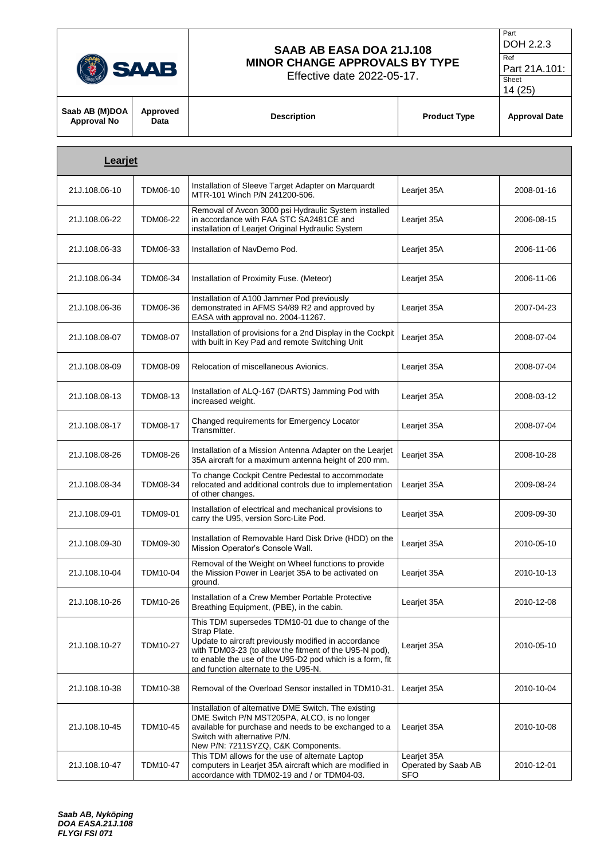

Effective date 2022-05-17.

```
DOH 2.2.3
Ref
```
Part

Part 21A.101: Sheet

|                                      |                  |                                                                                                                                                                                                                                                                                         |                     | 14 (25)              |
|--------------------------------------|------------------|-----------------------------------------------------------------------------------------------------------------------------------------------------------------------------------------------------------------------------------------------------------------------------------------|---------------------|----------------------|
| Saab AB (M)DOA<br><b>Approval No</b> | Approved<br>Data | <b>Description</b>                                                                                                                                                                                                                                                                      | <b>Product Type</b> | <b>Approval Date</b> |
| Learjet                              |                  |                                                                                                                                                                                                                                                                                         |                     |                      |
| 21J.108.06-10                        | TDM06-10         | Installation of Sleeve Target Adapter on Marquardt<br>MTR-101 Winch P/N 241200-506.                                                                                                                                                                                                     | Learjet 35A         | 2008-01-16           |
| 21J.108.06-22                        | <b>TDM06-22</b>  | Removal of Avcon 3000 psi Hydraulic System installed<br>in accordance with FAA STC SA2481CE and<br>installation of Learjet Original Hydraulic System                                                                                                                                    | Learjet 35A         | 2006-08-15           |
| 21J.108.06-33                        | TDM06-33         | Installation of NavDemo Pod.                                                                                                                                                                                                                                                            | Learjet 35A         | 2006-11-06           |
| 21J.108.06-34                        | TDM06-34         | Installation of Proximity Fuse. (Meteor)                                                                                                                                                                                                                                                | Learjet 35A         | 2006-11-06           |
| 21J.108.06-36                        | <b>TDM06-36</b>  | Installation of A100 Jammer Pod previously<br>demonstrated in AFMS S4/89 R2 and approved by<br>EASA with approval no. 2004-11267.                                                                                                                                                       | Learjet 35A         | 2007-04-23           |
| 21J.108.08-07                        | <b>TDM08-07</b>  | Installation of provisions for a 2nd Display in the Cockpit<br>with built in Key Pad and remote Switching Unit                                                                                                                                                                          | Learjet 35A         | 2008-07-04           |
| 21J.108.08-09                        | <b>TDM08-09</b>  | Relocation of miscellaneous Avionics.                                                                                                                                                                                                                                                   | Learjet 35A         | 2008-07-04           |
| 21J.108.08-13                        | TDM08-13         | Installation of ALQ-167 (DARTS) Jamming Pod with<br>increased weight.                                                                                                                                                                                                                   | Learjet 35A         | 2008-03-12           |
| 21J.108.08-17                        | <b>TDM08-17</b>  | Changed requirements for Emergency Locator<br>Transmitter.                                                                                                                                                                                                                              | Learjet 35A         | 2008-07-04           |
| 21J.108.08-26                        | <b>TDM08-26</b>  | Installation of a Mission Antenna Adapter on the Learjet<br>35A aircraft for a maximum antenna height of 200 mm.                                                                                                                                                                        | Learjet 35A         | 2008-10-28           |
| 21J.108.08-34                        | TDM08-34         | To change Cockpit Centre Pedestal to accommodate<br>relocated and additional controls due to implementation<br>of other changes.                                                                                                                                                        | Learjet 35A         | 2009-08-24           |
| 21J.108.09-01                        | <b>TDM09-01</b>  | Installation of electrical and mechanical provisions to<br>carry the U95, version Sorc-Lite Pod.                                                                                                                                                                                        | Learjet 35A         | 2009-09-30           |
| 21J.108.09-30                        | TDM09-30         | Installation of Removable Hard Disk Drive (HDD) on the<br>Mission Operator's Console Wall.                                                                                                                                                                                              | Learjet 35A         | 2010-05-10           |
| 21J.108.10-04                        | <b>TDM10-04</b>  | Removal of the Weight on Wheel functions to provide<br>the Mission Power in Learjet 35A to be activated on<br>ground.                                                                                                                                                                   | Learjet 35A         | 2010-10-13           |
| 21J.108.10-26                        | TDM10-26         | Installation of a Crew Member Portable Protective<br>Breathing Equipment, (PBE), in the cabin.                                                                                                                                                                                          | Learjet 35A         | 2010-12-08           |
| 21J.108.10-27                        | TDM10-27         | This TDM supersedes TDM10-01 due to change of the<br>Strap Plate.<br>Update to aircraft previously modified in accordance<br>with TDM03-23 (to allow the fitment of the U95-N pod),<br>to enable the use of the U95-D2 pod which is a form, fit<br>and function alternate to the U95-N. | Learjet 35A         | 2010-05-10           |
| 21J.108.10-38                        | TDM10-38         | Removal of the Overload Sensor installed in TDM10-31.                                                                                                                                                                                                                                   | Learjet 35A         | 2010-10-04           |
| 21J.108.10-45                        | TDM10-45         | Installation of alternative DME Switch. The existing<br>DME Switch P/N MST205PA, ALCO, is no longer<br>available for purchase and needs to be exchanged to a                                                                                                                            | Learjet 35A         | 2010-10-08           |

Switch with alternative P/N.

New P/N: 7211SYZQ, C&K Components.

This TDM allows for the use of alternate Laptop computers in Learjet 35A aircraft which are modified in accordance with TDM02-19 and / or TDM04-03.

Leariet 35A

SFO

Operated by Saab AB

2010-12-01

21J.108.10-47 TDM10-47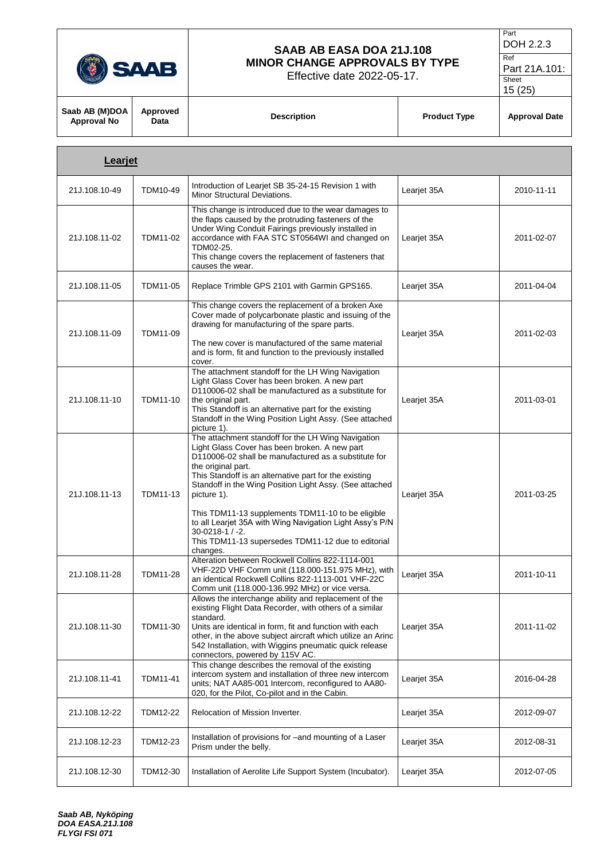

Effective date 2022-05-17.

Part DOH 2.2.3 Ref

Part 21A.101: Sheet

| Learjet       |                 |                                                                                                                                                                                                                                                                                                                                                                                                                                                                                                                       |             |            |
|---------------|-----------------|-----------------------------------------------------------------------------------------------------------------------------------------------------------------------------------------------------------------------------------------------------------------------------------------------------------------------------------------------------------------------------------------------------------------------------------------------------------------------------------------------------------------------|-------------|------------|
| 21J.108.10-49 | TDM10-49        | Introduction of Learjet SB 35-24-15 Revision 1 with<br>Minor Structural Deviations.                                                                                                                                                                                                                                                                                                                                                                                                                                   | Learjet 35A | 2010-11-11 |
| 21J.108.11-02 | TDM11-02        | This change is introduced due to the wear damages to<br>the flaps caused by the protruding fasteners of the<br>Under Wing Conduit Fairings previously installed in<br>accordance with FAA STC ST0564WI and changed on<br>TDM02-25.<br>This change covers the replacement of fasteners that<br>causes the wear.                                                                                                                                                                                                        | Learjet 35A | 2011-02-07 |
| 21J.108.11-05 | TDM11-05        | Replace Trimble GPS 2101 with Garmin GPS165.                                                                                                                                                                                                                                                                                                                                                                                                                                                                          | Learjet 35A | 2011-04-04 |
| 21J.108.11-09 | TDM11-09        | This change covers the replacement of a broken Axe<br>Cover made of polycarbonate plastic and issuing of the<br>drawing for manufacturing of the spare parts.<br>The new cover is manufactured of the same material<br>and is form, fit and function to the previously installed<br>cover.                                                                                                                                                                                                                            | Learjet 35A | 2011-02-03 |
| 21J.108.11-10 | TDM11-10        | The attachment standoff for the LH Wing Navigation<br>Light Glass Cover has been broken. A new part<br>D110006-02 shall be manufactured as a substitute for<br>the original part.<br>This Standoff is an alternative part for the existing<br>Standoff in the Wing Position Light Assy. (See attached<br>picture 1).                                                                                                                                                                                                  | Learjet 35A | 2011-03-01 |
| 21J.108.11-13 | TDM11-13        | The attachment standoff for the LH Wing Navigation<br>Light Glass Cover has been broken. A new part<br>D110006-02 shall be manufactured as a substitute for<br>the original part.<br>This Standoff is an alternative part for the existing<br>Standoff in the Wing Position Light Assy. (See attached<br>picture 1).<br>This TDM11-13 supplements TDM11-10 to be eligible<br>to all Learjet 35A with Wing Navigation Light Assy's P/N<br>$30 - 0218 - 1 / -2$ .<br>This TDM11-13 supersedes TDM11-12 due to editorial | Learjet 35A | 2011-03-25 |
| 21J.108.11-28 | <b>TDM11-28</b> | changes.<br>Alteration between Rockwell Collins 822-1114-001<br>VHF-22D VHF Comm unit (118.000-151.975 MHz), with<br>an identical Rockwell Collins 822-1113-001 VHF-22C<br>Comm unit (118.000-136.992 MHz) or vice versa.                                                                                                                                                                                                                                                                                             | Learjet 35A | 2011-10-11 |
| 21J.108.11-30 | TDM11-30        | Allows the interchange ability and replacement of the<br>existing Flight Data Recorder, with others of a similar<br>standard.<br>Units are identical in form, fit and function with each<br>other, in the above subject aircraft which utilize an Arinc<br>542 Installation, with Wiggins pneumatic quick release<br>connectors, powered by 115V AC.                                                                                                                                                                  | Learjet 35A | 2011-11-02 |
| 21J.108.11-41 | <b>TDM11-41</b> | This change describes the removal of the existing<br>intercom system and installation of three new intercom<br>units; NAT AA85-001 Intercom, reconfigured to AA80-<br>020, for the Pilot, Co-pilot and in the Cabin.                                                                                                                                                                                                                                                                                                  | Learjet 35A | 2016-04-28 |
| 21J.108.12-22 | TDM12-22        | Relocation of Mission Inverter.                                                                                                                                                                                                                                                                                                                                                                                                                                                                                       | Learjet 35A | 2012-09-07 |
| 21J.108.12-23 | TDM12-23        | Installation of provisions for -and mounting of a Laser<br>Prism under the belly.                                                                                                                                                                                                                                                                                                                                                                                                                                     | Learjet 35A | 2012-08-31 |
| 21J.108.12-30 | TDM12-30        | Installation of Aerolite Life Support System (Incubator).                                                                                                                                                                                                                                                                                                                                                                                                                                                             | Learjet 35A | 2012-07-05 |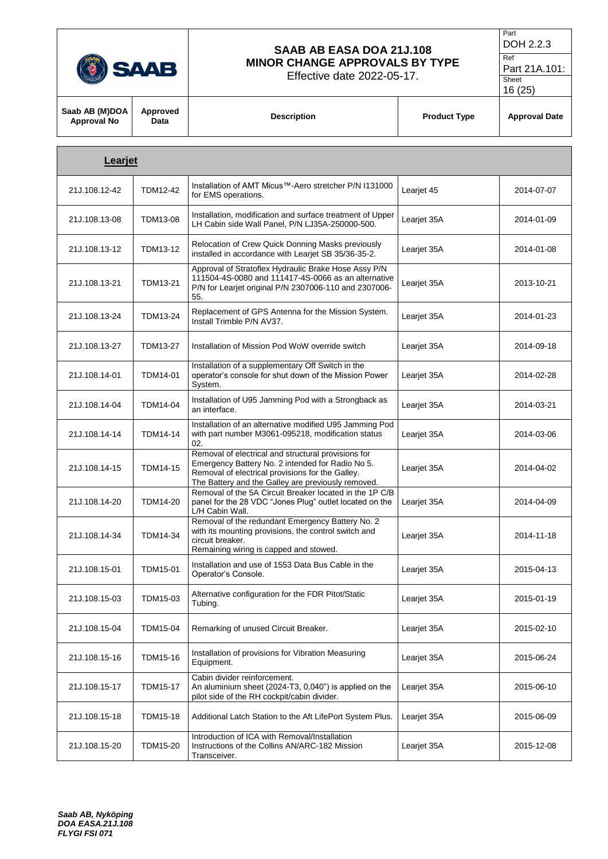

Г

# **SAAB AB EASA DOA 21J.108 MINOR CHANGE APPROVALS BY TYPE**

Effective date 2022-05-17.

```
Part
DOH 2.2.3
```
Ref Part 21A.101: Sheet

| Saab AB (M)DOA  <br><b>Approval No</b> | Approved<br>Data | <b>Description</b> | <b>Product Type</b> | <b>Approval Date</b> |
|----------------------------------------|------------------|--------------------|---------------------|----------------------|
|                                        |                  |                    |                     |                      |

| Learjet       |                 |                                                                                                                                                                                                                   |             |            |
|---------------|-----------------|-------------------------------------------------------------------------------------------------------------------------------------------------------------------------------------------------------------------|-------------|------------|
| 21J.108.12-42 | <b>TDM12-42</b> | Installation of AMT Micus™-Aero stretcher P/N I131000<br>for EMS operations.                                                                                                                                      | Learjet 45  | 2014-07-07 |
| 21J.108.13-08 | <b>TDM13-08</b> | Installation, modification and surface treatment of Upper<br>LH Cabin side Wall Panel, P/N LJ35A-250000-500.                                                                                                      | Learjet 35A | 2014-01-09 |
| 21J.108.13-12 | TDM13-12        | Relocation of Crew Quick Donning Masks previously<br>installed in accordance with Learjet SB 35/36-35-2.                                                                                                          | Learjet 35A | 2014-01-08 |
| 21J.108.13-21 | <b>TDM13-21</b> | Approval of Stratoflex Hydraulic Brake Hose Assy P/N<br>111504-4S-0080 and 111417-4S-0066 as an alternative<br>P/N for Learjet original P/N 2307006-110 and 2307006-<br>55.                                       | Learjet 35A | 2013-10-21 |
| 21J.108.13-24 | TDM13-24        | Replacement of GPS Antenna for the Mission System.<br>Install Trimble P/N AV37.                                                                                                                                   | Learjet 35A | 2014-01-23 |
| 21J.108.13-27 | <b>TDM13-27</b> | Installation of Mission Pod WoW override switch                                                                                                                                                                   | Learjet 35A | 2014-09-18 |
| 21J.108.14-01 | <b>TDM14-01</b> | Installation of a supplementary Off Switch in the<br>operator's console for shut down of the Mission Power<br>System.                                                                                             | Learjet 35A | 2014-02-28 |
| 21J.108.14-04 | TDM14-04        | Installation of U95 Jamming Pod with a Strongback as<br>an interface.                                                                                                                                             | Learjet 35A | 2014-03-21 |
| 21J.108.14-14 | TDM14-14        | Installation of an alternative modified U95 Jamming Pod<br>with part number M3061-095218, modification status<br>02.                                                                                              | Learjet 35A | 2014-03-06 |
| 21J.108.14-15 | <b>TDM14-15</b> | Removal of electrical and structural provisions for<br>Emergency Battery No. 2 intended for Radio No 5.<br>Removal of electrical provisions for the Galley.<br>The Battery and the Galley are previously removed. | Learjet 35A | 2014-04-02 |
| 21J.108.14-20 | TDM14-20        | Removal of the 5A Circuit Breaker located in the 1P C/B<br>panel for the 28 VDC "Jones Plug" outlet located on the<br>L/H Cabin Wall.                                                                             | Learjet 35A | 2014-04-09 |
| 21J.108.14-34 | TDM14-34        | Removal of the redundant Emergency Battery No. 2<br>with its mounting provisions, the control switch and<br>circuit breaker.<br>Remaining wiring is capped and stowed.                                            | Learjet 35A | 2014-11-18 |
| 21J.108.15-01 | <b>TDM15-01</b> | Installation and use of 1553 Data Bus Cable in the<br>Operator's Console.                                                                                                                                         | Learjet 35A | 2015-04-13 |
| 21J.108.15-03 | TDM15-03        | Alternative configuration for the FDR Pitot/Static<br>Tubing.                                                                                                                                                     | Learjet 35A | 2015-01-19 |
| 21J.108.15-04 | <b>TDM15-04</b> | Remarking of unused Circuit Breaker.                                                                                                                                                                              | Learjet 35A | 2015-02-10 |
| 21J.108.15-16 | <b>TDM15-16</b> | Installation of provisions for Vibration Measuring<br>Equipment.                                                                                                                                                  | Learjet 35A | 2015-06-24 |
| 21J.108.15-17 | <b>TDM15-17</b> | Cabin divider reinforcement.<br>An aluminium sheet (2024-T3, 0,040") is applied on the<br>pilot side of the RH cockpit/cabin divider.                                                                             | Learjet 35A | 2015-06-10 |
| 21J.108.15-18 | <b>TDM15-18</b> | Additional Latch Station to the Aft LifePort System Plus.                                                                                                                                                         | Learjet 35A | 2015-06-09 |
| 21J.108.15-20 | <b>TDM15-20</b> | Introduction of ICA with Removal/Installation<br>Instructions of the Collins AN/ARC-182 Mission<br>Transceiver.                                                                                                   | Learjet 35A | 2015-12-08 |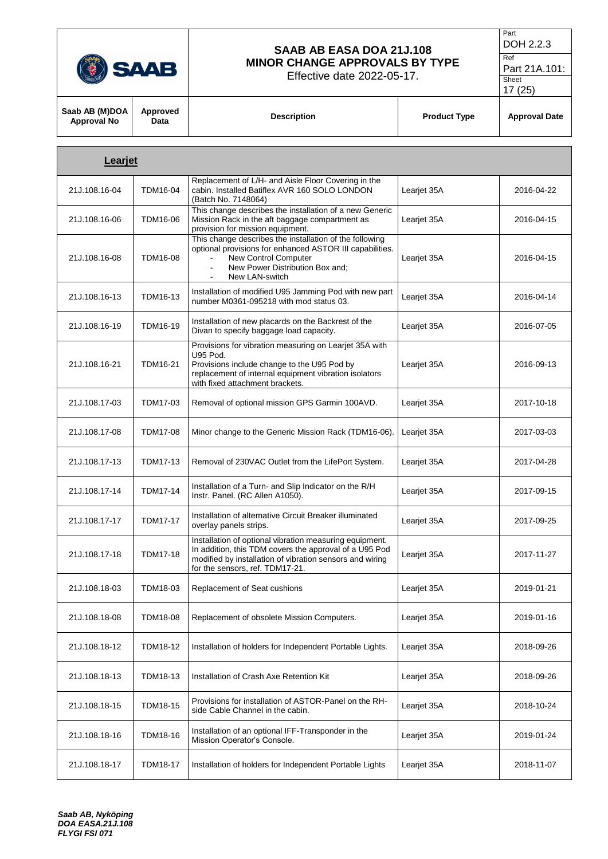| 77<br>ú<br>V.<br>v |
|--------------------|
|                    |

Effective date 2022-05-17.

```
Part
DOH 2.2.3
Ref
```
Part 21A.101: Sheet

| Saab AB (M)DOA  <br><b>Approval No</b> | Approved<br>Data | <b>Description</b> | <b>Product Type</b> | <b>Approval Date</b> |
|----------------------------------------|------------------|--------------------|---------------------|----------------------|

| Learjet       |                 |                                                                                                                                                                                                                    |             |            |
|---------------|-----------------|--------------------------------------------------------------------------------------------------------------------------------------------------------------------------------------------------------------------|-------------|------------|
| 21J.108.16-04 | <b>TDM16-04</b> | Replacement of L/H- and Aisle Floor Covering in the<br>cabin. Installed Batiflex AVR 160 SOLO LONDON<br>(Batch No. 7148064)                                                                                        | Learjet 35A | 2016-04-22 |
| 21J.108.16-06 | TDM16-06        | This change describes the installation of a new Generic<br>Mission Rack in the aft baggage compartment as<br>provision for mission equipment.                                                                      | Learjet 35A | 2016-04-15 |
| 21J.108.16-08 | <b>TDM16-08</b> | This change describes the installation of the following<br>optional provisions for enhanced ASTOR III capabilities.<br>New Control Computer<br>New Power Distribution Box and;<br>$\blacksquare$<br>New LAN-switch | Learjet 35A | 2016-04-15 |
| 21J.108.16-13 | TDM16-13        | Installation of modified U95 Jamming Pod with new part<br>number M0361-095218 with mod status 03.                                                                                                                  | Leariet 35A | 2016-04-14 |
| 21J.108.16-19 | TDM16-19        | Installation of new placards on the Backrest of the<br>Divan to specify baggage load capacity.                                                                                                                     | Learjet 35A | 2016-07-05 |
| 21J.108.16-21 | TDM16-21        | Provisions for vibration measuring on Learjet 35A with<br>U95 Pod.<br>Provisions include change to the U95 Pod by<br>replacement of internal equipment vibration isolators<br>with fixed attachment brackets.      | Learjet 35A | 2016-09-13 |
| 21J.108.17-03 | TDM17-03        | Removal of optional mission GPS Garmin 100AVD.                                                                                                                                                                     | Learjet 35A | 2017-10-18 |
| 21J.108.17-08 | TDM17-08        | Minor change to the Generic Mission Rack (TDM16-06).                                                                                                                                                               | Learjet 35A | 2017-03-03 |
| 21J.108.17-13 | <b>TDM17-13</b> | Removal of 230VAC Outlet from the LifePort System.                                                                                                                                                                 | Learjet 35A | 2017-04-28 |
| 21J.108.17-14 | <b>TDM17-14</b> | Installation of a Turn- and Slip Indicator on the R/H<br>Instr. Panel. (RC Allen A1050).                                                                                                                           | Learjet 35A | 2017-09-15 |
| 21J.108.17-17 | <b>TDM17-17</b> | Installation of alternative Circuit Breaker illuminated<br>overlay panels strips.                                                                                                                                  | Learjet 35A | 2017-09-25 |
| 21J.108.17-18 | <b>TDM17-18</b> | Installation of optional vibration measuring equipment.<br>In addition, this TDM covers the approval of a U95 Pod<br>modified by installation of vibration sensors and wiring<br>for the sensors, ref. TDM17-21.   | Learjet 35A | 2017-11-27 |
| 21J.108.18-03 | TDM18-03        | Replacement of Seat cushions                                                                                                                                                                                       | Learjet 35A | 2019-01-21 |
| 21J.108.18-08 | <b>TDM18-08</b> | Replacement of obsolete Mission Computers.                                                                                                                                                                         | Learjet 35A | 2019-01-16 |
| 21J.108.18-12 | <b>TDM18-12</b> | Installation of holders for Independent Portable Lights.                                                                                                                                                           | Learjet 35A | 2018-09-26 |
| 21J.108.18-13 | TDM18-13        | Installation of Crash Axe Retention Kit                                                                                                                                                                            | Learjet 35A | 2018-09-26 |
| 21J.108.18-15 | <b>TDM18-15</b> | Provisions for installation of ASTOR-Panel on the RH-<br>side Cable Channel in the cabin.                                                                                                                          | Learjet 35A | 2018-10-24 |
| 21J.108.18-16 | TDM18-16        | Installation of an optional IFF-Transponder in the<br>Mission Operator's Console.                                                                                                                                  | Leariet 35A | 2019-01-24 |
| 21J.108.18-17 | <b>TDM18-17</b> | Installation of holders for Independent Portable Lights                                                                                                                                                            | Learjet 35A | 2018-11-07 |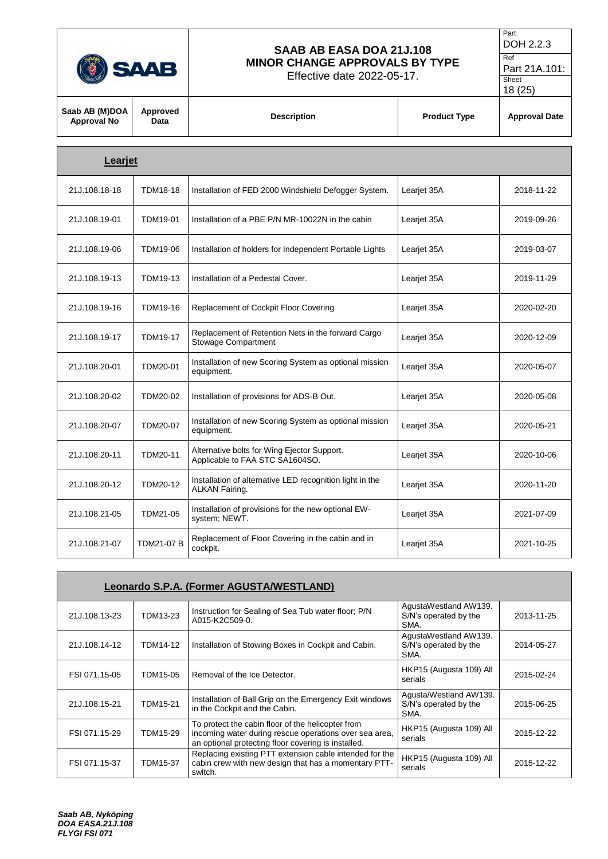

Effective date 2022-05-17.

```
DOH 2.2.3
Ref
```
Part

Part 21A.101: Sheet

|                                      |                  |                                                                                   |                     | 18 (25)              |
|--------------------------------------|------------------|-----------------------------------------------------------------------------------|---------------------|----------------------|
| Saab AB (M)DOA<br><b>Approval No</b> | Approved<br>Data | <b>Description</b>                                                                | <b>Product Type</b> | <b>Approval Date</b> |
| Learjet                              |                  |                                                                                   |                     |                      |
| 21J.108.18-18                        | <b>TDM18-18</b>  | Installation of FED 2000 Windshield Defogger System.                              | Learjet 35A         | 2018-11-22           |
| 21J.108.19-01                        | TDM19-01         | Installation of a PBE P/N MR-10022N in the cabin                                  | Learjet 35A         | 2019-09-26           |
| 21J.108.19-06                        | TDM19-06         | Installation of holders for Independent Portable Lights                           | Learjet 35A         | 2019-03-07           |
| 21J.108.19-13                        | TDM19-13         | Installation of a Pedestal Cover.                                                 | Learjet 35A         | 2019-11-29           |
| 21J.108.19-16                        | <b>TDM19-16</b>  | Replacement of Cockpit Floor Covering                                             | Learjet 35A         | 2020-02-20           |
| 21J.108.19-17                        | <b>TDM19-17</b>  | Replacement of Retention Nets in the forward Cargo<br><b>Stowage Compartment</b>  | Learjet 35A         | 2020-12-09           |
| 21J.108.20-01                        | TDM20-01         | Installation of new Scoring System as optional mission<br>equipment.              | Learjet 35A         | 2020-05-07           |
| 21J.108.20-02                        | TDM20-02         | Installation of provisions for ADS-B Out.                                         | Learjet 35A         | 2020-05-08           |
| 21J.108.20-07                        | <b>TDM20-07</b>  | Installation of new Scoring System as optional mission<br>equipment.              | Learjet 35A         | 2020-05-21           |
| 21J.108.20-11                        | TDM20-11         | Alternative bolts for Wing Ejector Support.<br>Applicable to FAA STC SA1604SO.    | Learjet 35A         | 2020-10-06           |
| 21J.108.20-12                        | TDM20-12         | Installation of alternative LED recognition light in the<br><b>ALKAN Fairing.</b> | Learjet 35A         | 2020-11-20           |
| 21J.108.21-05                        | TDM21-05         | Installation of provisions for the new optional EW-<br>system; NEWT.              | Learjet 35A         | 2021-07-09           |
| 21J.108.21-07                        | TDM21-07 B       | Replacement of Floor Covering in the cabin and in<br>cockpit.                     | Learjet 35A         | 2021-10-25           |

|               | <b>Leonardo S.P.A. (Former AGUSTA/WESTLAND)</b> |                                                                                                                                                                    |                                                         |            |  |
|---------------|-------------------------------------------------|--------------------------------------------------------------------------------------------------------------------------------------------------------------------|---------------------------------------------------------|------------|--|
| 21J.108.13-23 | TDM13-23                                        | Instruction for Sealing of Sea Tub water floor; P/N<br>A015-K2C509-0.                                                                                              | AgustaWestland AW139.<br>S/N's operated by the<br>SMA.  | 2013-11-25 |  |
| 21J.108.14-12 | TDM14-12                                        | Installation of Stowing Boxes in Cockpit and Cabin.                                                                                                                | AgustaWestland AW139.<br>S/N's operated by the<br>SMA.  | 2014-05-27 |  |
| FSI 071.15-05 | TDM15-05                                        | Removal of the Ice Detector.                                                                                                                                       | HKP15 (Augusta 109) All<br>serials                      | 2015-02-24 |  |
| 21J.108.15-21 | <b>TDM15-21</b>                                 | Installation of Ball Grip on the Emergency Exit windows<br>in the Cockpit and the Cabin.                                                                           | Agusta/Westland AW139.<br>S/N's operated by the<br>SMA. | 2015-06-25 |  |
| FSI 071.15-29 | TDM15-29                                        | To protect the cabin floor of the helicopter from<br>incoming water during rescue operations over sea area,<br>an optional protecting floor covering is installed. | HKP15 (Augusta 109) All<br>serials                      | 2015-12-22 |  |
| FSI 071.15-37 | <b>TDM15-37</b>                                 | Replacing existing PTT extension cable intended for the<br>cabin crew with new design that has a momentary PTT-<br>switch.                                         | HKP15 (Augusta 109) All<br>serials                      | 2015-12-22 |  |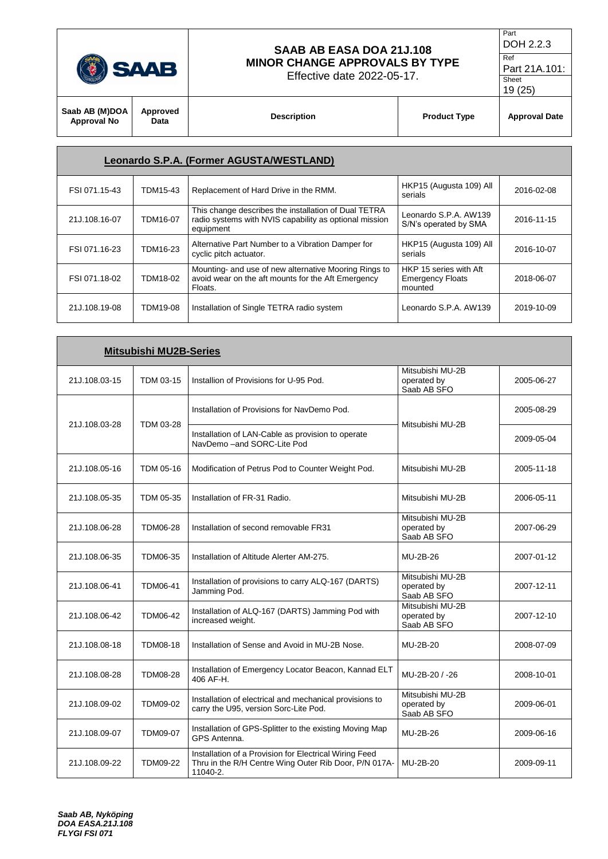

Effective date 2022-05-17.

```
DOH 2.2.3
Ref
```
Part

Part 21A.101: Sheet

| $\sim$                        |                  |                    | 19(25)              |                      |
|-------------------------------|------------------|--------------------|---------------------|----------------------|
| Saab AB (M)DOA<br>Approval No | Approved<br>Data | <b>Description</b> | <b>Product Type</b> | <b>Approval Date</b> |

|               |          | <b>Leonardo S.P.A. (Former AGUSTA/WESTLAND)</b>                                                                             |                                                              |            |
|---------------|----------|-----------------------------------------------------------------------------------------------------------------------------|--------------------------------------------------------------|------------|
| FSI 071.15-43 | TDM15-43 | Replacement of Hard Drive in the RMM.                                                                                       | HKP15 (Augusta 109) All<br>serials                           | 2016-02-08 |
| 21J.108.16-07 | TDM16-07 | This change describes the installation of Dual TETRA<br>radio systems with NVIS capability as optional mission<br>equipment | Leonardo S.P.A. AW139<br>S/N's operated by SMA               | 2016-11-15 |
| FSI 071.16-23 | TDM16-23 | Alternative Part Number to a Vibration Damper for<br>cyclic pitch actuator.                                                 | HKP15 (Augusta 109) All<br>serials                           | 2016-10-07 |
| FSI 071.18-02 | TDM18-02 | Mounting- and use of new alternative Mooring Rings to<br>avoid wear on the aft mounts for the Aft Emergency<br>Floats.      | HKP 15 series with Aft<br><b>Emergency Floats</b><br>mounted | 2018-06-07 |
| 21J.108.19-08 | TDM19-08 | Installation of Single TETRA radio system                                                                                   | Leonardo S.P.A. AW139                                        | 2019-10-09 |

| <b>Mitsubishi MU2B-Series</b> |                 |                                                                                                                             |                                                |            |
|-------------------------------|-----------------|-----------------------------------------------------------------------------------------------------------------------------|------------------------------------------------|------------|
| 21J.108.03-15                 | TDM 03-15       | Installion of Provisions for U-95 Pod.                                                                                      | Mitsubishi MU-2B<br>operated by<br>Saab AB SFO | 2005-06-27 |
| 21J.108.03-28                 | TDM 03-28       | Installation of Provisions for NavDemo Pod.                                                                                 | Mitsubishi MU-2B                               | 2005-08-29 |
|                               |                 | Installation of LAN-Cable as provision to operate<br>NavDemo - and SORC-Lite Pod                                            |                                                | 2009-05-04 |
| 21J.108.05-16                 | TDM 05-16       | Modification of Petrus Pod to Counter Weight Pod.                                                                           | Mitsubishi MU-2B                               | 2005-11-18 |
| 21J.108.05-35                 | TDM 05-35       | Installation of FR-31 Radio.                                                                                                | Mitsubishi MU-2B                               | 2006-05-11 |
| 21J.108.06-28                 | <b>TDM06-28</b> | Installation of second removable FR31                                                                                       | Mitsubishi MU-2B<br>operated by<br>Saab AB SFO | 2007-06-29 |
| 21J.108.06-35                 | TDM06-35        | Installation of Altitude Alerter AM-275.                                                                                    | MU-2B-26                                       | 2007-01-12 |
| 21J.108.06-41                 | TDM06-41        | Installation of provisions to carry ALQ-167 (DARTS)<br>Jamming Pod.                                                         | Mitsubishi MU-2B<br>operated by<br>Saab AB SFO | 2007-12-11 |
| 21J.108.06-42                 | TDM06-42        | Installation of ALQ-167 (DARTS) Jamming Pod with<br>increased weight.                                                       | Mitsubishi MU-2B<br>operated by<br>Saab AB SFO | 2007-12-10 |
| 21J.108.08-18                 | TDM08-18        | Installation of Sense and Avoid in MU-2B Nose.                                                                              | MU-2B-20                                       | 2008-07-09 |
| 21J.108.08-28                 | <b>TDM08-28</b> | Installation of Emergency Locator Beacon, Kannad ELT<br>406 AF-H.                                                           | MU-2B-20 / -26                                 | 2008-10-01 |
| 21J.108.09-02                 | TDM09-02        | Installation of electrical and mechanical provisions to<br>carry the U95, version Sorc-Lite Pod.                            | Mitsubishi MU-2B<br>operated by<br>Saab AB SFO | 2009-06-01 |
| 21J.108.09-07                 | <b>TDM09-07</b> | Installation of GPS-Splitter to the existing Moving Map<br>GPS Antenna.                                                     | MU-2B-26                                       | 2009-06-16 |
| 21J.108.09-22                 | <b>TDM09-22</b> | Installation of a Provision for Electrical Wiring Feed<br>Thru in the R/H Centre Wing Outer Rib Door, P/N 017A-<br>11040-2. | MU-2B-20                                       | 2009-09-11 |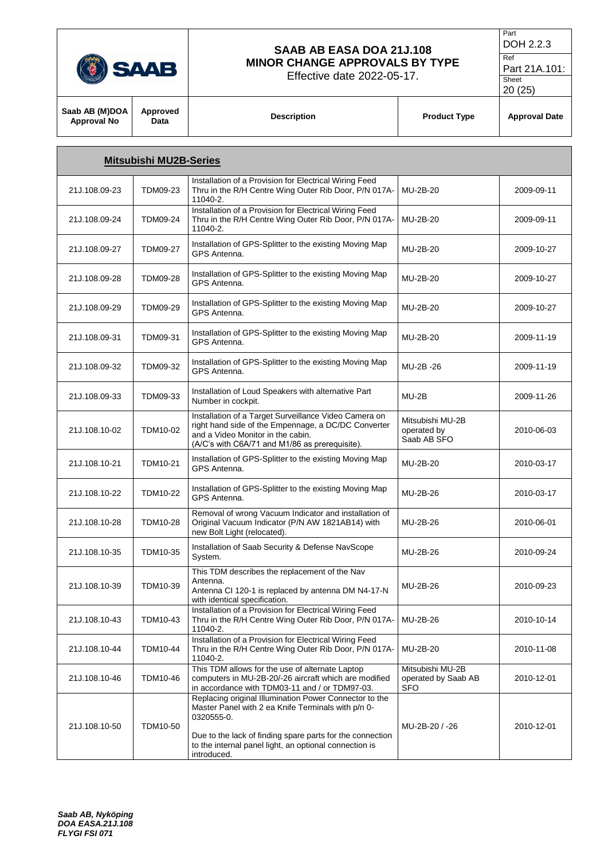

Effective date 2022-05-17.

Ref Part 21A.101:

| LIIGUUVG UAIG ZUZZ-UJ-TIT.<br>(HNOLOG |                               |                                                                                                                                                                                                     | Sheet<br>20(25)                                |                      |
|---------------------------------------|-------------------------------|-----------------------------------------------------------------------------------------------------------------------------------------------------------------------------------------------------|------------------------------------------------|----------------------|
| Saab AB (M)DOA<br><b>Approval No</b>  | Approved<br>Data              | <b>Description</b>                                                                                                                                                                                  | <b>Product Type</b>                            | <b>Approval Date</b> |
|                                       | <b>Mitsubishi MU2B-Series</b> |                                                                                                                                                                                                     |                                                |                      |
| 21J.108.09-23                         | <b>TDM09-23</b>               | Installation of a Provision for Electrical Wiring Feed<br>Thru in the R/H Centre Wing Outer Rib Door, P/N 017A-<br>11040-2.                                                                         | MU-2B-20                                       | 2009-09-11           |
| 21J.108.09-24                         | <b>TDM09-24</b>               | Installation of a Provision for Electrical Wiring Feed<br>Thru in the R/H Centre Wing Outer Rib Door, P/N 017A-<br>11040-2.                                                                         | MU-2B-20                                       | 2009-09-11           |
| 21J.108.09-27                         | <b>TDM09-27</b>               | Installation of GPS-Splitter to the existing Moving Map<br>GPS Antenna.                                                                                                                             | MU-2B-20                                       | 2009-10-27           |
| 21J.108.09-28                         | <b>TDM09-28</b>               | Installation of GPS-Splitter to the existing Moving Map<br>GPS Antenna.                                                                                                                             | MU-2B-20                                       | 2009-10-27           |
| 21J.108.09-29                         | <b>TDM09-29</b>               | Installation of GPS-Splitter to the existing Moving Map<br>GPS Antenna.                                                                                                                             | MU-2B-20                                       | 2009-10-27           |
| 21J.108.09-31                         | TDM09-31                      | Installation of GPS-Splitter to the existing Moving Map<br>GPS Antenna.                                                                                                                             | MU-2B-20                                       | 2009-11-19           |
| 21J.108.09-32                         | <b>TDM09-32</b>               | Installation of GPS-Splitter to the existing Moving Map<br>GPS Antenna.                                                                                                                             | MU-2B-26                                       | 2009-11-19           |
| 21J.108.09-33                         | TDM09-33                      | Installation of Loud Speakers with alternative Part<br>Number in cockpit.                                                                                                                           | $MU-2B$                                        | 2009-11-26           |
| 21J.108.10-02                         | TDM10-02                      | Installation of a Target Surveillance Video Camera on<br>right hand side of the Empennage, a DC/DC Converter<br>and a Video Monitor in the cabin.<br>(A/C's with C6A/71 and M1/86 as prerequisite). | Mitsubishi MU-2B<br>operated by<br>Saab AB SFO | 2010-06-03           |
| 21J.108.10-21                         | <b>TDM10-21</b>               | Installation of GPS-Splitter to the existing Moving Map<br>GPS Antenna.                                                                                                                             | MU-2B-20                                       | 2010-03-17           |
| 21J.108.10-22                         | <b>TDM10-22</b>               | Installation of GPS-Splitter to the existing Moving Map<br>GPS Antenna.                                                                                                                             | MU-2B-26                                       | 2010-03-17           |
| 21J.108.10-28                         | <b>TDM10-28</b>               | Removal of wrong Vacuum Indicator and installation of<br>Original Vacuum Indicator (P/N AW 1821AB14) with<br>new Bolt Light (relocated).                                                            | MU-2B-26                                       | 2010-06-01           |

mstallation of Saab Security & Deferse NavScope MU-2B-26 2010-09-24

MU-2B-26 2010-09-23

MU-2B-26 2010-10-14

MU-2B-20 2010-11-08

MU-2B-20 / -26 2010-12-01

2010-12-01

Mitsubishi MU-2B operated by Saab AB

SFO

21J.108.10-35 | TDM10-35 | Installation of Saab Security & Defense NavScope

with identical specification.

Antenna.

11040-2.

11040-2.

0320555-0.

introduced.

This TDM describes the replacement of the Nav

Antenna CI 120-1 is replaced by antenna DM N4-17-N

Installation of a Provision for Electrical Wiring Feed Thru in the R/H Centre Wing Outer Rib Door, P/N 017A-

Installation of a Provision for Electrical Wiring Feed Thru in the R/H Centre Wing Outer Rib Door, P/N 017A-

Replacing original Illumination Power Connector to the Master Panel with 2 ea Knife Terminals with p/n 0-

Due to the lack of finding spare parts for the connection to the internal panel light, an optional connection is

This TDM allows for the use of alternate Laptop computers in MU-2B-20/-26 aircraft which are modified in accordance with TDM03-11 and / or TDM97-03.

21J.108.10-39 TDM10-39

21J.108.10-43 TDM10-43

21J.108.10-44 TDM10-44

21J.108.10-46 TDM10-46

21J.108.10-50 TDM10-50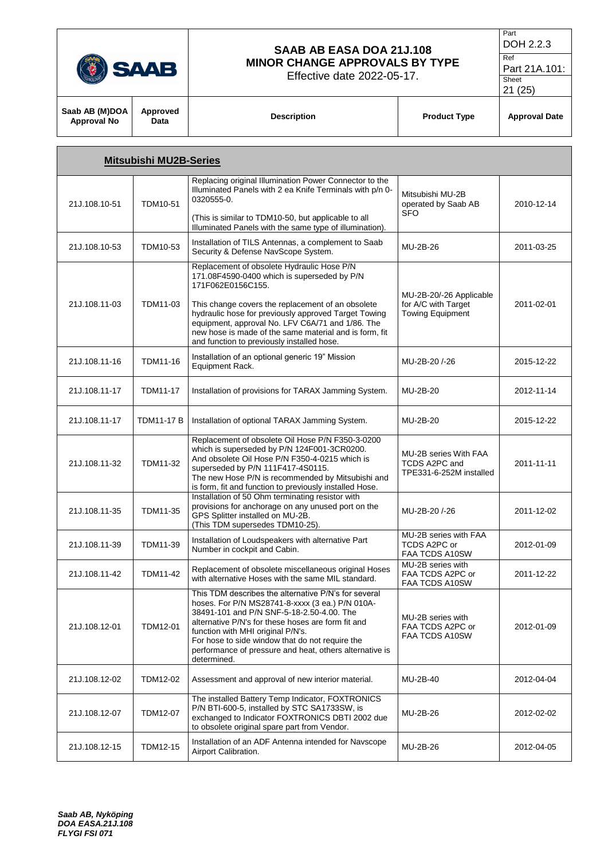|                                      | <b>SAAB</b>      | SAAB AB EASA DOA 21J.108<br><b>MINOR CHANGE APPROVALS BY TYPE</b><br>Effective date 2022-05-17. |                     | Part<br>DOH 2.2.3<br>Ref<br>Part 21A.101:<br>Sheet<br>21(25) |
|--------------------------------------|------------------|-------------------------------------------------------------------------------------------------|---------------------|--------------------------------------------------------------|
| Saab AB (M)DOA<br><b>Approval No</b> | Approved<br>Data | <b>Description</b>                                                                              | <b>Product Type</b> | <b>Approval Date</b>                                         |

Part

|               | <b>Mitsubishi MU2B-Series</b> |                                                                                                                                                                                                                                                                                                                                                                                         |                                                                           |            |
|---------------|-------------------------------|-----------------------------------------------------------------------------------------------------------------------------------------------------------------------------------------------------------------------------------------------------------------------------------------------------------------------------------------------------------------------------------------|---------------------------------------------------------------------------|------------|
| 21J.108.10-51 | <b>TDM10-51</b>               | Replacing original Illumination Power Connector to the<br>Illuminated Panels with 2 ea Knife Terminals with p/n 0-<br>0320555-0.<br>(This is similar to TDM10-50, but applicable to all                                                                                                                                                                                                 | Mitsubishi MU-2B<br>operated by Saab AB<br><b>SFO</b>                     | 2010-12-14 |
| 21J.108.10-53 | TDM10-53                      | Illuminated Panels with the same type of illumination).<br>Installation of TILS Antennas, a complement to Saab<br>Security & Defense NavScope System.                                                                                                                                                                                                                                   | MU-2B-26                                                                  | 2011-03-25 |
| 21J.108.11-03 | TDM11-03                      | Replacement of obsolete Hydraulic Hose P/N<br>171.08F4590-0400 which is superseded by P/N<br>171F062E0156C155.<br>This change covers the replacement of an obsolete<br>hydraulic hose for previously approved Target Towing<br>equipment, approval No. LFV C6A/71 and 1/86. The<br>new hose is made of the same material and is form, fit<br>and function to previously installed hose. | MU-2B-20/-26 Applicable<br>for A/C with Target<br><b>Towing Equipment</b> | 2011-02-01 |
| 21J.108.11-16 | TDM11-16                      | Installation of an optional generic 19" Mission<br>Equipment Rack.                                                                                                                                                                                                                                                                                                                      | MU-2B-20/-26                                                              | 2015-12-22 |
| 21J.108.11-17 | <b>TDM11-17</b>               | Installation of provisions for TARAX Jamming System.                                                                                                                                                                                                                                                                                                                                    | MU-2B-20                                                                  | 2012-11-14 |
| 21J.108.11-17 | <b>TDM11-17 B</b>             | Installation of optional TARAX Jamming System.                                                                                                                                                                                                                                                                                                                                          | MU-2B-20                                                                  | 2015-12-22 |
| 21J.108.11-32 | TDM11-32                      | Replacement of obsolete Oil Hose P/N F350-3-0200<br>which is superseded by P/N 124F001-3CR0200.<br>And obsolete Oil Hose P/N F350-4-0215 which is<br>superseded by P/N 111F417-4S0115.<br>The new Hose P/N is recommended by Mitsubishi and<br>is form, fit and function to previously installed Hose.                                                                                  | MU-2B series With FAA<br>TCDS A2PC and<br>TPE331-6-252M installed         | 2011-11-11 |
| 21J.108.11-35 | TDM11-35                      | Installation of 50 Ohm terminating resistor with<br>provisions for anchorage on any unused port on the<br>GPS Splitter installed on MU-2B.<br>(This TDM supersedes TDM10-25).                                                                                                                                                                                                           | MU-2B-20 /-26                                                             | 2011-12-02 |
| 21J.108.11-39 | TDM11-39                      | Installation of Loudspeakers with alternative Part<br>Number in cockpit and Cabin.                                                                                                                                                                                                                                                                                                      | MU-2B series with FAA<br>TCDS A2PC or<br>FAA TCDS A10SW                   | 2012-01-09 |
| 21J.108.11-42 | <b>TDM11-42</b>               | Replacement of obsolete miscellaneous original Hoses<br>with alternative Hoses with the same MIL standard.                                                                                                                                                                                                                                                                              | MU-2B series with<br>FAA TCDS A2PC or<br>FAA TCDS A10SW                   | 2011-12-22 |
| 21J.108.12-01 | TDM12-01                      | This TDM describes the alternative P/N's for several<br>hoses. For P/N MS28741-8-xxxx (3 ea.) P/N 010A-<br>38491-101 and P/N SNF-5-18-2.50-4.00. The<br>alternative P/N's for these hoses are form fit and<br>function with MHI original P/N's.<br>For hose to side window that do not require the<br>performance of pressure and heat, others alternative is<br>determined.            | MU-2B series with<br>FAA TCDS A2PC or<br>FAA TCDS A10SW                   | 2012-01-09 |
| 21J.108.12-02 | TDM12-02                      | Assessment and approval of new interior material.                                                                                                                                                                                                                                                                                                                                       | MU-2B-40                                                                  | 2012-04-04 |
| 21J.108.12-07 | TDM12-07                      | The installed Battery Temp Indicator, FOXTRONICS<br>P/N BTI-600-5, installed by STC SA1733SW, is<br>exchanged to Indicator FOXTRONICS DBTI 2002 due<br>to obsolete original spare part from Vendor.                                                                                                                                                                                     | MU-2B-26                                                                  | 2012-02-02 |
| 21J.108.12-15 | TDM12-15                      | Installation of an ADF Antenna intended for Navscope<br>Airport Calibration.                                                                                                                                                                                                                                                                                                            | MU-2B-26                                                                  | 2012-04-05 |

 $\Gamma$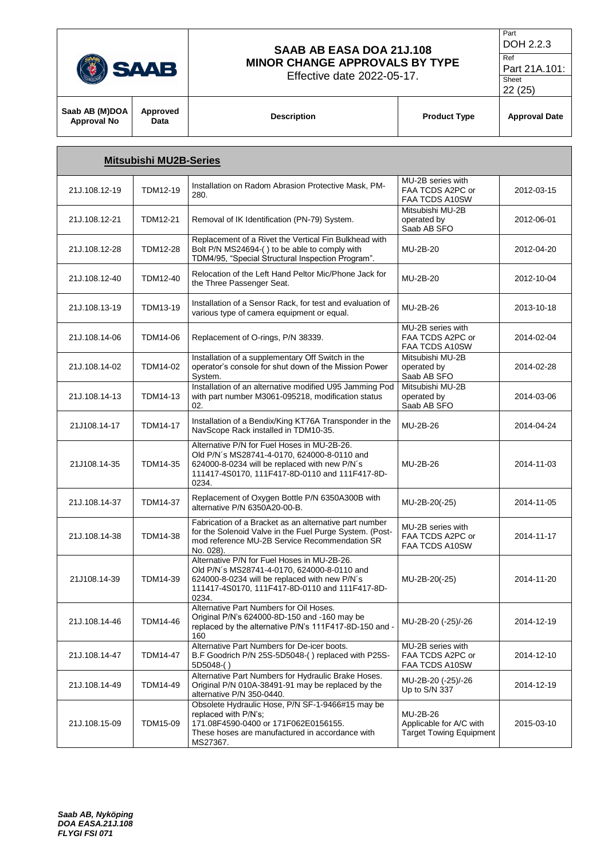

Effective date 2022-05-17.

Part DOH 2.2.3

Ref Part 21A.101:

Sheet 22 (25)

| Saab AB (M)DOA<br><b>Approval No</b> | Approved<br>Data              | <b>Description</b> | <b>Product Type</b> | <b>Approval Date</b> |
|--------------------------------------|-------------------------------|--------------------|---------------------|----------------------|
|                                      | <b>Mitsubishi MU2B-Series</b> |                    |                     |                      |

| 21J.108.12-19 | TDM12-19        | Installation on Radom Abrasion Protective Mask, PM-<br>280.                                                                                                                                            | MU-2B series with<br>FAA TCDS A2PC or<br>FAA TCDS A10SW               | 2012-03-15 |
|---------------|-----------------|--------------------------------------------------------------------------------------------------------------------------------------------------------------------------------------------------------|-----------------------------------------------------------------------|------------|
| 21J.108.12-21 | <b>TDM12-21</b> | Removal of IK Identification (PN-79) System.                                                                                                                                                           | Mitsubishi MU-2B<br>operated by<br>Saab AB SFO                        | 2012-06-01 |
| 21J.108.12-28 | <b>TDM12-28</b> | Replacement of a Rivet the Vertical Fin Bulkhead with<br>Bolt P/N MS24694-() to be able to comply with<br>TDM4/95, "Special Structural Inspection Program".                                            | MU-2B-20                                                              | 2012-04-20 |
| 21J.108.12-40 | TDM12-40        | Relocation of the Left Hand Peltor Mic/Phone Jack for<br>the Three Passenger Seat.                                                                                                                     | MU-2B-20                                                              | 2012-10-04 |
| 21J.108.13-19 | TDM13-19        | Installation of a Sensor Rack, for test and evaluation of<br>various type of camera equipment or equal.                                                                                                | MU-2B-26                                                              | 2013-10-18 |
| 21J.108.14-06 | TDM14-06        | Replacement of O-rings, P/N 38339.                                                                                                                                                                     | MU-2B series with<br>FAA TCDS A2PC or<br>FAA TCDS A10SW               | 2014-02-04 |
| 21J.108.14-02 | TDM14-02        | Installation of a supplementary Off Switch in the<br>operator's console for shut down of the Mission Power<br>System.                                                                                  | Mitsubishi MU-2B<br>operated by<br>Saab AB SFO                        | 2014-02-28 |
| 21J.108.14-13 | TDM14-13        | Installation of an alternative modified U95 Jamming Pod<br>with part number M3061-095218, modification status<br>02.                                                                                   | Mitsubishi MU-2B<br>operated by<br>Saab AB SFO                        | 2014-03-06 |
| 21J108.14-17  | <b>TDM14-17</b> | Installation of a Bendix/King KT76A Transponder in the<br>NavScope Rack installed in TDM10-35.                                                                                                         | MU-2B-26                                                              | 2014-04-24 |
| 21J108.14-35  | TDM14-35        | Alternative P/N for Fuel Hoses in MU-2B-26.<br>Old P/N's MS28741-4-0170, 624000-8-0110 and<br>624000-8-0234 will be replaced with new P/N's<br>111417-4S0170, 111F417-8D-0110 and 111F417-8D-<br>0234. | MU-2B-26                                                              | 2014-11-03 |
| 21J.108.14-37 | <b>TDM14-37</b> | Replacement of Oxygen Bottle P/N 6350A300B with<br>alternative P/N 6350A20-00-B.                                                                                                                       | MU-2B-20(-25)                                                         | 2014-11-05 |
| 21J.108.14-38 | <b>TDM14-38</b> | Fabrication of a Bracket as an alternative part number<br>for the Solenoid Valve in the Fuel Purge System. (Post-<br>mod reference MU-2B Service Recommendation SR<br>No. 028).                        | MU-2B series with<br>FAA TCDS A2PC or<br>FAA TCDS A10SW               | 2014-11-17 |
| 21J108.14-39  | TDM14-39        | Alternative P/N for Fuel Hoses in MU-2B-26.<br>Old P/N's MS28741-4-0170, 624000-8-0110 and<br>624000-8-0234 will be replaced with new P/N's<br>111417-4S0170, 111F417-8D-0110 and 111F417-8D-<br>0234. | MU-2B-20(-25)                                                         | 2014-11-20 |
| 21J.108.14-46 | TDM14-46        | Alternative Part Numbers for Oil Hoses.<br>Original P/N's 624000-8D-150 and -160 may be<br>replaced by the alternative P/N's 111F417-8D-150 and -<br>160                                               | MU-2B-20 (-25)/-26                                                    | 2014-12-19 |
| 21J.108.14-47 | TDM14-47        | Alternative Part Numbers for De-icer boots.<br>B.F Goodrich P/N 25S-5D5048-() replaced with P25S-<br>$5D5048-()$                                                                                       | MU-2B series with<br>FAA TCDS A2PC or<br>FAA TCDS A10SW               | 2014-12-10 |
| 21J.108.14-49 | TDM14-49        | Alternative Part Numbers for Hydraulic Brake Hoses.<br>Original P/N 010A-38491-91 may be replaced by the<br>alternative P/N 350-0440.                                                                  | MU-2B-20 (-25)/-26<br>Up to S/N 337                                   | 2014-12-19 |
| 21J.108.15-09 | TDM15-09        | Obsolete Hydraulic Hose, P/N SF-1-9466#15 may be<br>replaced with P/N's;<br>171.08F4590-0400 or 171F062E0156155.<br>These hoses are manufactured in accordance with<br>MS27367.                        | MU-2B-26<br>Applicable for A/C with<br><b>Target Towing Equipment</b> | 2015-03-10 |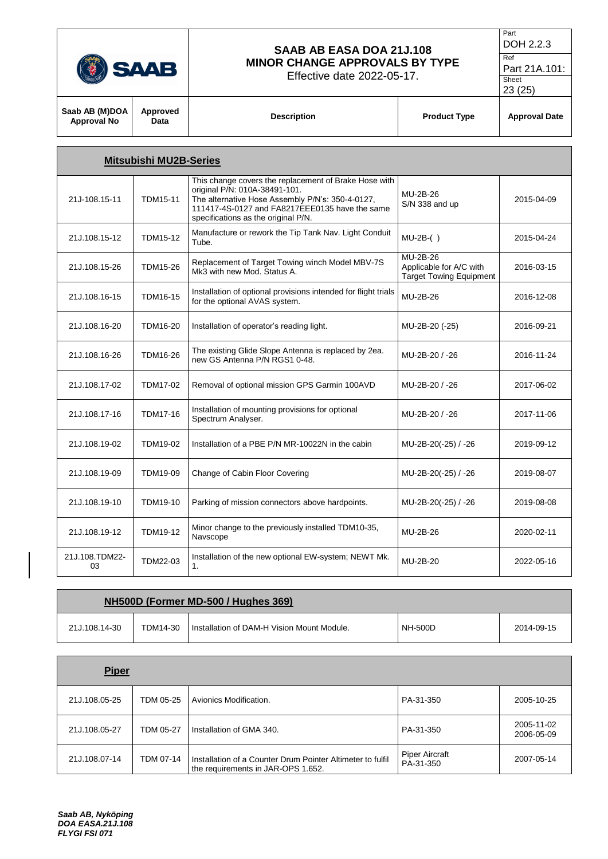$\overline{\mathbf{r}}$ 

### **SAAB AB EASA DOA 21J.108 MINOR CHANGE APPROVALS BY TYPE**

Effective date 2022-05-17.

 $\top$ 

```
Part
DOH 2.2.3
```
Ref Part 21A.101:

| . . |  |
|-----|--|
|     |  |

Sheet

| Saab AB (M)DOA<br>Approval No | Approved<br>Data              | <b>Description</b>                                                                    | <b>Product Type</b> | <b>Approval Date</b> |  |  |  |
|-------------------------------|-------------------------------|---------------------------------------------------------------------------------------|---------------------|----------------------|--|--|--|
|                               | <b>Mitsubishi MU2B-Series</b> |                                                                                       |                     |                      |  |  |  |
|                               |                               | This change covers the replacement of Brake Hose with<br>original P/N: 0104-38491-101 |                     |                      |  |  |  |

| 21J-108.15-11        | <b>TDM15-11</b> | original P/N: 010A-38491-101.<br>The alternative Hose Assembly P/N's: 350-4-0127,<br>111417-4S-0127 and FA8217EEE0135 have the same<br>specifications as the original P/N. | MU-2B-26<br>S/N 338 and up                                            | 2015-04-09 |
|----------------------|-----------------|----------------------------------------------------------------------------------------------------------------------------------------------------------------------------|-----------------------------------------------------------------------|------------|
| 21J.108.15-12        | <b>TDM15-12</b> | Manufacture or rework the Tip Tank Nav. Light Conduit<br>Tube.                                                                                                             | $MU-2B-()$                                                            | 2015-04-24 |
| 21J.108.15-26        | <b>TDM15-26</b> | Replacement of Target Towing winch Model MBV-7S<br>Mk3 with new Mod. Status A.                                                                                             | MU-2B-26<br>Applicable for A/C with<br><b>Target Towing Equipment</b> | 2016-03-15 |
| 21J.108.16-15        | <b>TDM16-15</b> | Installation of optional provisions intended for flight trials<br>for the optional AVAS system.                                                                            | MU-2B-26                                                              | 2016-12-08 |
| 21J.108.16-20        | TDM16-20        | Installation of operator's reading light.                                                                                                                                  | MU-2B-20 (-25)                                                        | 2016-09-21 |
| 21J.108.16-26        | TDM16-26        | The existing Glide Slope Antenna is replaced by 2ea.<br>new GS Antenna P/N RGS1 0-48.                                                                                      | MU-2B-20 / -26                                                        | 2016-11-24 |
| 21J.108.17-02        | TDM17-02        | Removal of optional mission GPS Garmin 100AVD                                                                                                                              | MU-2B-20 / -26                                                        | 2017-06-02 |
| 21J.108.17-16        | <b>TDM17-16</b> | Installation of mounting provisions for optional<br>Spectrum Analyser.                                                                                                     | MU-2B-20 / -26                                                        | 2017-11-06 |
| 21J.108.19-02        | TDM19-02        | Installation of a PBE P/N MR-10022N in the cabin                                                                                                                           | MU-2B-20(-25) / -26                                                   | 2019-09-12 |
| 21J.108.19-09        | TDM19-09        | Change of Cabin Floor Covering                                                                                                                                             | MU-2B-20(-25) / -26                                                   | 2019-08-07 |
| 21J.108.19-10        | TDM19-10        | Parking of mission connectors above hardpoints.                                                                                                                            | MU-2B-20(-25) / -26                                                   | 2019-08-08 |
| 21J.108.19-12        | <b>TDM19-12</b> | Minor change to the previously installed TDM10-35,<br>Navscope                                                                                                             | MU-2B-26                                                              | 2020-02-11 |
| 21J.108.TDM22-<br>03 | TDM22-03        | Installation of the new optional EW-system; NEWT Mk.<br>1.                                                                                                                 | MU-2B-20                                                              | 2022-05-16 |

| NH500D (Former MD-500 / Hughes 369) |          |                                            |                |            |  |
|-------------------------------------|----------|--------------------------------------------|----------------|------------|--|
| 21J.108.14-30                       | TDM14-30 | Installation of DAM-H Vision Mount Module. | <b>NH-500D</b> | 2014-09-15 |  |

| <b>Piper</b>  |           |                                                                                                  |                                    |                          |
|---------------|-----------|--------------------------------------------------------------------------------------------------|------------------------------------|--------------------------|
| 21J.108.05-25 | TDM 05-25 | Avionics Modification.                                                                           | PA-31-350                          | 2005-10-25               |
| 21J.108.05-27 | TDM 05-27 | Installation of GMA 340.                                                                         | PA-31-350                          | 2005-11-02<br>2006-05-09 |
| 21J.108.07-14 | TDM 07-14 | Installation of a Counter Drum Pointer Altimeter to fulfil<br>the requirements in JAR-OPS 1.652. | <b>Piper Aircraft</b><br>PA-31-350 | 2007-05-14               |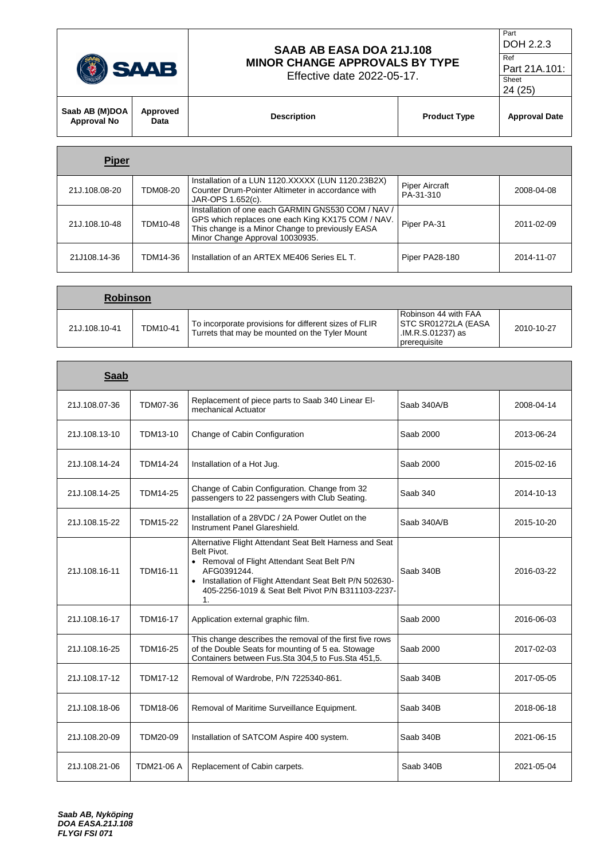|                               | <b>SAAB</b>      | SAAB AB EASA DOA 21J.108<br><b>MINOR CHANGE APPROVALS BY TYPE</b><br>Effective date 2022-05-17. |                     | Part<br>DOH 2.2.3<br>Ref<br>Part 21A.101:<br>Sheet<br>24 (25) |
|-------------------------------|------------------|-------------------------------------------------------------------------------------------------|---------------------|---------------------------------------------------------------|
| Saab AB (M)DOA<br>Approval No | Approved<br>Data | <b>Description</b>                                                                              | <b>Product Type</b> |                                                               |
| <b>Piper</b>                  |                  |                                                                                                 |                     |                                                               |

| 21J.108.08-20 | TDM08-20 | Installation of a LUN 1120.XXXXX (LUN 1120.23B2X)<br>Counter Drum-Pointer Altimeter in accordance with<br>JAR-OPS 1.652(c).                                                                    | <b>Piper Aircraft</b><br>PA-31-310 | 2008-04-08 |
|---------------|----------|------------------------------------------------------------------------------------------------------------------------------------------------------------------------------------------------|------------------------------------|------------|
| 21J.108.10-48 | TDM10-48 | Installation of one each GARMIN GNS530 COM / NAV /<br>GPS which replaces one each King KX175 COM / NAV.<br>This change is a Minor Change to previously EASA<br>Minor Change Approval 10030935. | Piper PA-31                        | 2011-02-09 |
| 21J108.14-36  | TDM14-36 | Installation of an ARTEX ME406 Series EL T.                                                                                                                                                    | Piper PA28-180                     | 2014-11-07 |

| <b>Robinson</b> |          |                                                                                                         |                                                                                          |            |
|-----------------|----------|---------------------------------------------------------------------------------------------------------|------------------------------------------------------------------------------------------|------------|
| 21J.108.10-41   | TDM10-41 | To incorporate provisions for different sizes of FLIR<br>Turrets that may be mounted on the Tyler Mount | Robinson 44 with FAA<br><b>STC SR01272LA (EASA)</b><br>.IM.R.S.01237) as<br>prerequisite | 2010-10-27 |

| <b>Saab</b>   |                 |                                                                                                                                                                                                                                                             |             |            |
|---------------|-----------------|-------------------------------------------------------------------------------------------------------------------------------------------------------------------------------------------------------------------------------------------------------------|-------------|------------|
| 21J.108.07-36 | TDM07-36        | Replacement of piece parts to Saab 340 Linear El-<br>mechanical Actuator                                                                                                                                                                                    | Saab 340A/B | 2008-04-14 |
| 21J.108.13-10 | TDM13-10        | Change of Cabin Configuration                                                                                                                                                                                                                               | Saab 2000   | 2013-06-24 |
| 21J.108.14-24 | TDM14-24        | Installation of a Hot Jug.                                                                                                                                                                                                                                  | Saab 2000   | 2015-02-16 |
| 21J.108.14-25 | <b>TDM14-25</b> | Change of Cabin Configuration. Change from 32<br>passengers to 22 passengers with Club Seating.                                                                                                                                                             | Saab 340    | 2014-10-13 |
| 21J.108.15-22 | <b>TDM15-22</b> | Installation of a 28VDC / 2A Power Outlet on the<br>Instrument Panel Glareshield.                                                                                                                                                                           | Saab 340A/B | 2015-10-20 |
| 21J.108.16-11 | TDM16-11        | Alternative Flight Attendant Seat Belt Harness and Seat<br>Belt Pivot.<br>• Removal of Flight Attendant Seat Belt P/N<br>AFG0391244.<br>• Installation of Flight Attendant Seat Belt P/N 502630-<br>405-2256-1019 & Seat Belt Pivot P/N B311103-2237-<br>1. | Saab 340B   | 2016-03-22 |
| 21J.108.16-17 | <b>TDM16-17</b> | Application external graphic film.                                                                                                                                                                                                                          | Saab 2000   | 2016-06-03 |
| 21J.108.16-25 | TDM16-25        | This change describes the removal of the first five rows<br>of the Double Seats for mounting of 5 ea. Stowage<br>Containers between Fus.Sta 304,5 to Fus.Sta 451,5.                                                                                         | Saab 2000   | 2017-02-03 |
| 21J.108.17-12 | <b>TDM17-12</b> | Removal of Wardrobe, P/N 7225340-861.                                                                                                                                                                                                                       | Saab 340B   | 2017-05-05 |
| 21J.108.18-06 | TDM18-06        | Removal of Maritime Surveillance Equipment.                                                                                                                                                                                                                 | Saab 340B   | 2018-06-18 |
| 21J.108.20-09 | TDM20-09        | Installation of SATCOM Aspire 400 system.                                                                                                                                                                                                                   | Saab 340B   | 2021-06-15 |
| 21J.108.21-06 | TDM21-06 A      | Replacement of Cabin carpets.                                                                                                                                                                                                                               | Saab 340B   | 2021-05-04 |